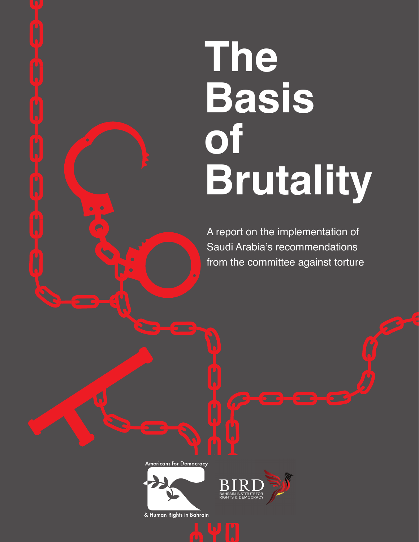# **The Basis of Brutality**

A report on the implementation of Saudi Arabia's recommendations from the committee against torture

Americans for Democracy





& Human Rights in Bahrain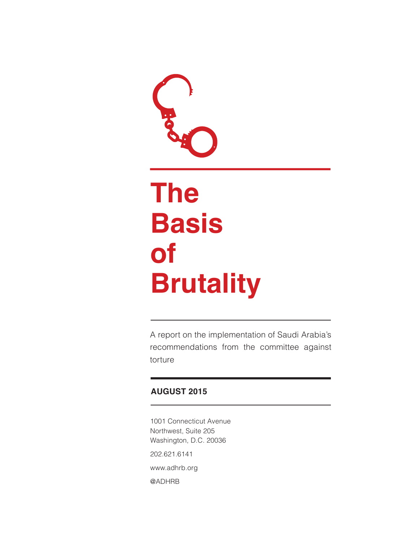

A report on the implementation of Saudi Arabia's recommendations from the committee against torture

#### **AUGUST 2015**

1001 Connecticut Avenue Northwest, Suite 205 Washington, D.C. 20036 202.621.6141 www.adhrb.org @ADHRB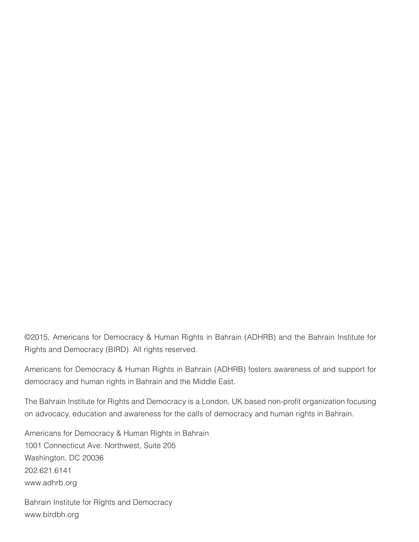©2015, Americans for Democracy & Human Rights in Bahrain (ADHRB) and the Bahrain Institute for Rights and Democracy (BIRD). All rights reserved.

Americans for Democracy & Human Rights in Bahrain (ADHRB) fosters awareness of and support for democracy and human rights in Bahrain and the Middle East.

The Bahrain Institute for Rights and Democracy is a London, UK based non-profit organization focusing on advocacy, education and awareness for the calls of democracy and human rights in Bahrain.

Americans for Democracy & Human Rights in Bahrain 1001 Connecticut Ave. Northwest, Suite 205 Washington, DC 20036 202.621.6141 www.adhrb.org

Bahrain Institute for Rights and Democracy www.birdbh.org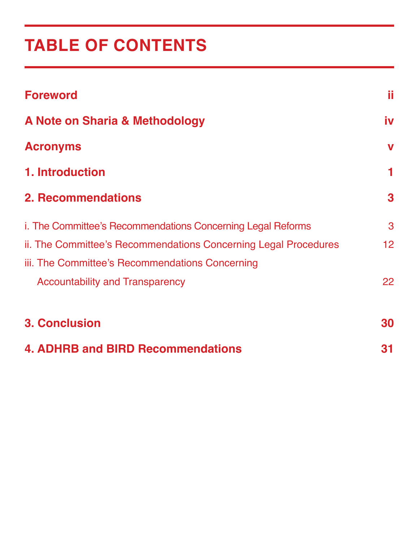# **TABLE OF CONTENTS**

| <b>Foreword</b><br>A Note on Sharia & Methodology               | ii<br>iv |
|-----------------------------------------------------------------|----------|
|                                                                 |          |
| 1. Introduction                                                 | 1        |
| 2. Recommendations                                              | 3        |
| i. The Committee's Recommendations Concerning Legal Reforms     | 3        |
| ii. The Committee's Recommendations Concerning Legal Procedures | 12       |
| iii. The Committee's Recommendations Concerning                 |          |
| <b>Accountability and Transparency</b>                          | 22       |
| <b>3. Conclusion</b>                                            | 30       |
| <b>4. ADHRB and BIRD Recommendations</b>                        | 31       |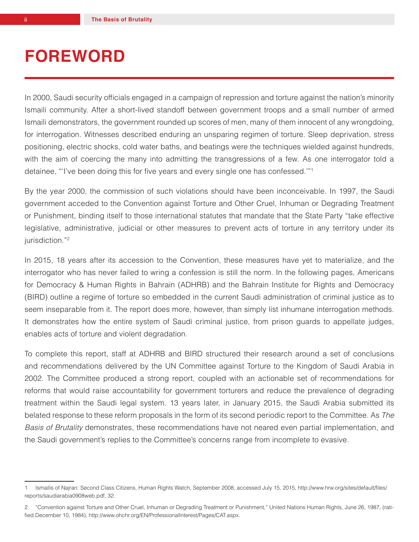# **FOREWORD**

In 2000, Saudi security officials engaged in a campaign of repression and torture against the nation's minority Ismaili community. After a short-lived standoff between government troops and a small number of armed Ismaili demonstrators, the government rounded up scores of men, many of them innocent of any wrongdoing, for interrogation. Witnesses described enduring an unsparing regimen of torture. Sleep deprivation, stress positioning, electric shocks, cold water baths, and beatings were the techniques wielded against hundreds, with the aim of coercing the many into admitting the transgressions of a few. As one interrogator told a detainee, "'I've been doing this for five years and every single one has confessed.'"<sup>1</sup>

By the year 2000, the commission of such violations should have been inconceivable. In 1997, the Saudi government acceded to the Convention against Torture and Other Cruel, Inhuman or Degrading Treatment or Punishment, binding itself to those international statutes that mandate that the State Party "take effective legislative, administrative, judicial or other measures to prevent acts of torture in any territory under its jurisdiction."<sup>2</sup>

In 2015, 18 years after its accession to the Convention, these measures have yet to materialize, and the interrogator who has never failed to wring a confession is still the norm. In the following pages, Americans for Democracy & Human Rights in Bahrain (ADHRB) and the Bahrain Institute for Rights and Democracy (BIRD) outline a regime of torture so embedded in the current Saudi administration of criminal justice as to seem inseparable from it. The report does more, however, than simply list inhumane interrogation methods. It demonstrates how the entire system of Saudi criminal justice, from prison guards to appellate judges, enables acts of torture and violent degradation.

To complete this report, staff at ADHRB and BIRD structured their research around a set of conclusions and recommendations delivered by the UN Committee against Torture to the Kingdom of Saudi Arabia in 2002. The Committee produced a strong report, coupled with an actionable set of recommendations for reforms that would raise accountability for government torturers and reduce the prevalence of degrading treatment within the Saudi legal system. 13 years later, in January 2015, the Saudi Arabia submitted its belated response to these reform proposals in the form of its second periodic report to the Committee. As *The Basis of Brutality* demonstrates, these recommendations have not neared even partial implementation, and the Saudi government's replies to the Committee's concerns range from incomplete to evasive.

<sup>1</sup> Ismailis of Najran: Second Class Citizens, Human Rights Watch, September 2008, accessed July 15, 2015, http://www.hrw.org/sites/default/files/ reports/saudiarabia0908web.pdf, 32.

<sup>2 &</sup>quot;Convention against Torture and Other Cruel, Inhuman or Degrading Treatment or Punishment," United Nations Human Rights, June 26, 1987, (ratified December 10, 1984), http://www.ohchr.org/EN/ProfessionalInterest/Pages/CAT.aspx.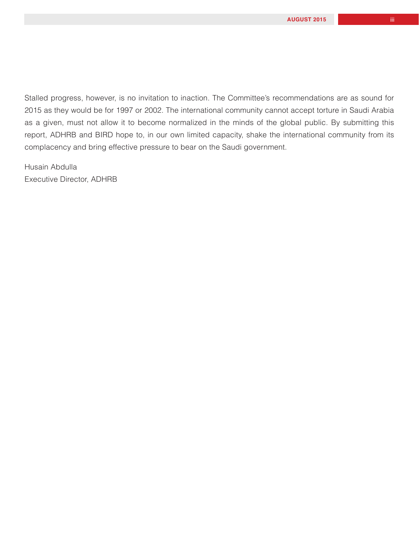Stalled progress, however, is no invitation to inaction. The Committee's recommendations are as sound for 2015 as they would be for 1997 or 2002. The international community cannot accept torture in Saudi Arabia as a given, must not allow it to become normalized in the minds of the global public. By submitting this report, ADHRB and BIRD hope to, in our own limited capacity, shake the international community from its complacency and bring effective pressure to bear on the Saudi government.

Husain Abdulla Executive Director, ADHRB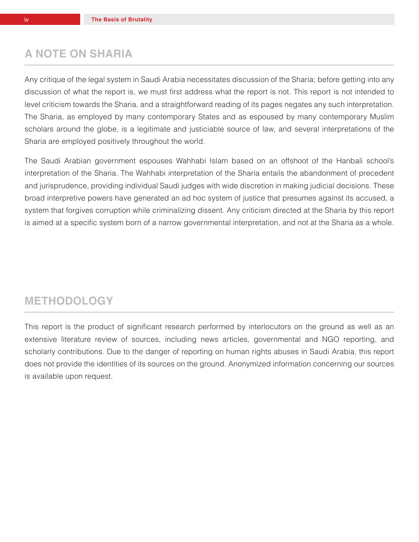## **A NOTE ON SHARIA**

Any critique of the legal system in Saudi Arabia necessitates discussion of the Sharia; before getting into any discussion of what the report is, we must first address what the report is not. This report is not intended to level criticism towards the Sharia, and a straightforward reading of its pages negates any such interpretation. The Sharia, as employed by many contemporary States and as espoused by many contemporary Muslim scholars around the globe, is a legitimate and justiciable source of law, and several interpretations of the Sharia are employed positively throughout the world.

The Saudi Arabian government espouses Wahhabi Islam based on an offshoot of the Hanbali school's interpretation of the Sharia. The Wahhabi interpretation of the Sharia entails the abandonment of precedent and jurisprudence, providing individual Saudi judges with wide discretion in making judicial decisions. These broad interpretive powers have generated an ad hoc system of justice that presumes against its accused, a system that forgives corruption while criminalizing dissent. Any criticism directed at the Sharia by this report is aimed at a specific system born of a narrow governmental interpretation, and not at the Sharia as a whole.

# **METHODOLOGY**

This report is the product of significant research performed by interlocutors on the ground as well as an extensive literature review of sources, including news articles, governmental and NGO reporting, and scholarly contributions. Due to the danger of reporting on human rights abuses in Saudi Arabia, this report does not provide the identities of its sources on the ground. Anonymized information concerning our sources is available upon request.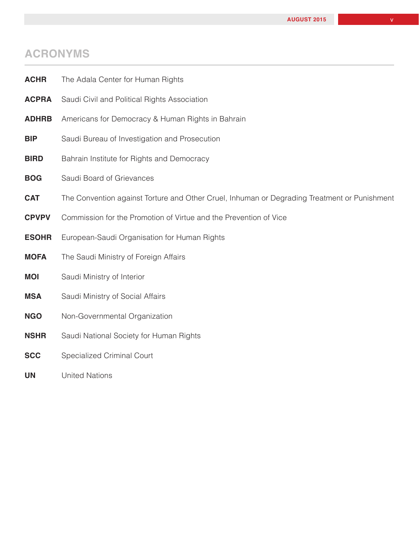## **ACRONYMS**

- **ACHR** The Adala Center for Human Rights
- **ACPRA** Saudi Civil and Political Rights Association
- **ADHRB** Americans for Democracy & Human Rights in Bahrain
- **BIP** Saudi Bureau of Investigation and Prosecution
- **BIRD** Bahrain Institute for Rights and Democracy
- **BOG** Saudi Board of Grievances
- **CAT** The Convention against Torture and Other Cruel, Inhuman or Degrading Treatment or Punishment
- **CPVPV** Commission for the Promotion of Virtue and the Prevention of Vice
- **ESOHR** European-Saudi Organisation for Human Rights
- **MOFA** The Saudi Ministry of Foreign Affairs
- **MOI** Saudi Ministry of Interior
- **MSA** Saudi Ministry of Social Affairs
- **NGO** Non-Governmental Organization
- **NSHR** Saudi National Society for Human Rights
- **SCC** Specialized Criminal Court
- **UN** United Nations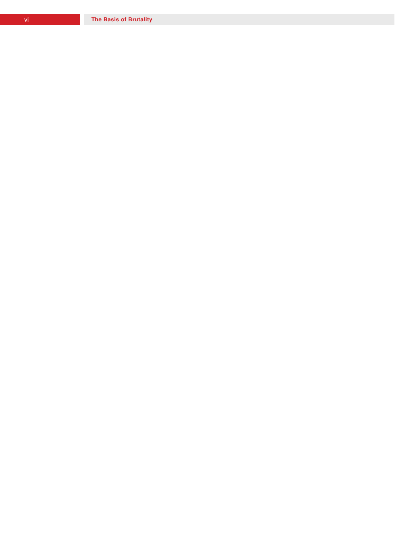vi **The Basis of Brutality**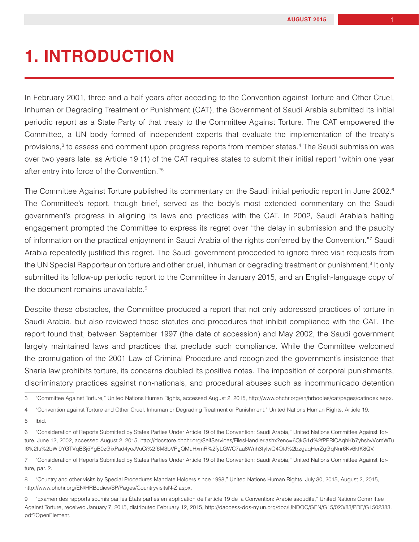# **1. INTRODUCTION**

In February 2001, three and a half years after acceding to the Convention against Torture and Other Cruel, Inhuman or Degrading Treatment or Punishment (CAT), the Government of Saudi Arabia submitted its initial periodic report as a State Party of that treaty to the Committee Against Torture. The CAT empowered the Committee, a UN body formed of independent experts that evaluate the implementation of the treaty's provisions,<sup>3</sup> to assess and comment upon progress reports from member states.<sup>4</sup> The Saudi submission was over two years late, as Article 19 (1) of the CAT requires states to submit their initial report "within one year after entry into force of the Convention."<sup>5</sup>

The Committee Against Torture published its commentary on the Saudi initial periodic report in June 2002.<sup>6</sup> The Committee's report, though brief, served as the body's most extended commentary on the Saudi government's progress in aligning its laws and practices with the CAT. In 2002, Saudi Arabia's halting engagement prompted the Committee to express its regret over "the delay in submission and the paucity of information on the practical enjoyment in Saudi Arabia of the rights conferred by the Convention."<sup>7</sup> Saudi Arabia repeatedly justified this regret. The Saudi government proceeded to ignore three visit requests from the UN Special Rapporteur on torture and other cruel, inhuman or degrading treatment or punishment.<sup>8</sup> It only submitted its follow-up periodic report to the Committee in January 2015, and an English-language copy of the document remains unavailable. $9$ 

Despite these obstacles, the Committee produced a report that not only addressed practices of torture in Saudi Arabia, but also reviewed those statutes and procedures that inhibit compliance with the CAT. The report found that, between September 1997 (the date of accession) and May 2002, the Saudi government largely maintained laws and practices that preclude such compliance. While the Committee welcomed the promulgation of the 2001 Law of Criminal Procedure and recognized the government's insistence that Sharia law prohibits torture, its concerns doubled its positive notes. The imposition of corporal punishments, discriminatory practices against non-nationals, and procedural abuses such as incommunicado detention

3 "Committee Against Torture," United Nations Human Rights, accessed August 2, 2015, http://www.ohchr.org/en/hrbodies/cat/pages/catindex.aspx.

4 "Convention against Torture and Other Cruel, Inhuman or Degrading Treatment or Punishment," United Nations Human Rights, Article 19.

5 Ibid.

7 "Consideration of Reports Submitted by States Parties Under Article 19 of the Convention: Saudi Arabia," United Nations Committee Against Torture, par. 2.

8 "Country and other visits by Special Procedures Mandate Holders since 1998," United Nations Human Rights, July 30, 2015, August 2, 2015, http://www.ohchr.org/EN/HRBodies/SP/Pages/CountryvisitsN-Z.aspx.

9 "Examen des rapports soumis par les États parties en application de l'article 19 de la Convention: Arabie saoudite," United Nations Committee Against Torture, received January 7, 2015, distributed February 12, 2015, http://daccess-dds-ny.un.org/doc/UNDOC/GEN/G15/023/83/PDF/G1502383. pdf?OpenElement.

<sup>6 &</sup>quot;Consideration of Reports Submitted by States Parties Under Article 19 of the Convention: Saudi Arabia," United Nations Committee Against Torture, June 12, 2002, accessed August 2, 2015, http://docstore.ohchr.org/SelfServices/FilesHandler.ashx?enc=6QkG1d%2fPPRiCAqhKb7yhshvVcmWTu l6%2fu%2bWl9YGTVqBSj5YgB0zGixPad4yoJVuCi%2f6M3bVPgQMuHxmR%2fyLGWC7aa8Wnh3fylwQ4QtJ%2bzgaqHerZgGqNnr6Kv6kfK8QV.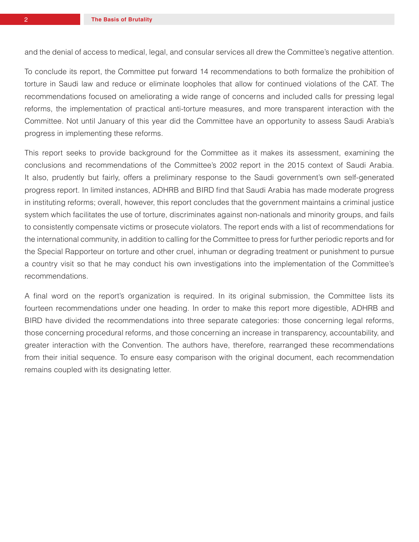and the denial of access to medical, legal, and consular services all drew the Committee's negative attention.

To conclude its report, the Committee put forward 14 recommendations to both formalize the prohibition of torture in Saudi law and reduce or eliminate loopholes that allow for continued violations of the CAT. The recommendations focused on ameliorating a wide range of concerns and included calls for pressing legal reforms, the implementation of practical anti-torture measures, and more transparent interaction with the Committee. Not until January of this year did the Committee have an opportunity to assess Saudi Arabia's progress in implementing these reforms.

This report seeks to provide background for the Committee as it makes its assessment, examining the conclusions and recommendations of the Committee's 2002 report in the 2015 context of Saudi Arabia. It also, prudently but fairly, offers a preliminary response to the Saudi government's own self-generated progress report. In limited instances, ADHRB and BIRD find that Saudi Arabia has made moderate progress in instituting reforms; overall, however, this report concludes that the government maintains a criminal justice system which facilitates the use of torture, discriminates against non-nationals and minority groups, and fails to consistently compensate victims or prosecute violators. The report ends with a list of recommendations for the international community, in addition to calling for the Committee to press for further periodic reports and for the Special Rapporteur on torture and other cruel, inhuman or degrading treatment or punishment to pursue a country visit so that he may conduct his own investigations into the implementation of the Committee's recommendations.

A final word on the report's organization is required. In its original submission, the Committee lists its fourteen recommendations under one heading. In order to make this report more digestible, ADHRB and BIRD have divided the recommendations into three separate categories: those concerning legal reforms, those concerning procedural reforms, and those concerning an increase in transparency, accountability, and greater interaction with the Convention. The authors have, therefore, rearranged these recommendations from their initial sequence. To ensure easy comparison with the original document, each recommendation remains coupled with its designating letter.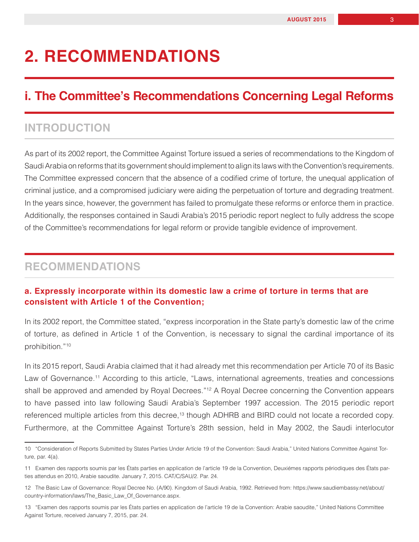# **2. RECOMMENDATIONS**

# **i. The Committee's Recommendations Concerning Legal Reforms**

## **INTRODUCTION**

As part of its 2002 report, the Committee Against Torture issued a series of recommendations to the Kingdom of Saudi Arabia on reforms that its government should implement to align its laws with the Convention's requirements. The Committee expressed concern that the absence of a codified crime of torture, the unequal application of criminal justice, and a compromised judiciary were aiding the perpetuation of torture and degrading treatment. In the years since, however, the government has failed to promulgate these reforms or enforce them in practice. Additionally, the responses contained in Saudi Arabia's 2015 periodic report neglect to fully address the scope of the Committee's recommendations for legal reform or provide tangible evidence of improvement.

#### **RECOMMENDATIONS**

#### **a. Expressly incorporate within its domestic law a crime of torture in terms that are consistent with Article 1 of the Convention;**

In its 2002 report, the Committee stated, "express incorporation in the State party's domestic law of the crime of torture, as defined in Article 1 of the Convention, is necessary to signal the cardinal importance of its prohibition."<sup>10</sup>

In its 2015 report, Saudi Arabia claimed that it had already met this recommendation per Article 70 of its Basic Law of Governance.<sup>11</sup> According to this article, "Laws, international agreements, treaties and concessions shall be approved and amended by Royal Decrees."<sup>12</sup> A Royal Decree concerning the Convention appears to have passed into law following Saudi Arabia's September 1997 accession. The 2015 periodic report referenced multiple articles from this decree,<sup>13</sup> though ADHRB and BIRD could not locate a recorded copy. Furthermore, at the Committee Against Torture's 28th session, held in May 2002, the Saudi interlocutor

<sup>10</sup> "Consideration of Reports Submitted by States Parties Under Article 19 of the Convention: Saudi Arabia," United Nations Committee Against Torture, par. 4(a).

<sup>11</sup> Examen des rapports soumis par les États parties en application de l'article 19 de la Convention, Deuxiémes rapports périodiques des États parties attendus en 2010, Arabie saoudite. January 7, 2015. CAT/C/SAU/2. Par. 24.

<sup>12</sup> The Basic Law of Governance: Royal Decree No. (A/90). Kingdom of Saudi Arabia, 1992. Retrieved from: https://www.saudiembassy.net/about/ country-information/laws/The\_Basic\_Law\_Of\_Governance.aspx.

<sup>13</sup> "Examen des rapports soumis par les États parties en application de l'article 19 de la Convention: Arabie saoudite," United Nations Committee Against Torture, received January 7, 2015, par. 24.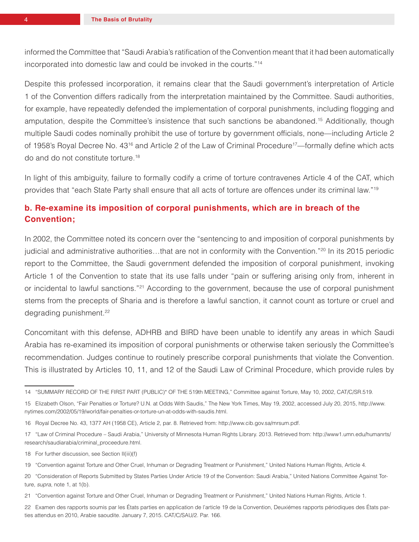informed the Committee that "Saudi Arabia's ratification of the Convention meant that it had been automatically incorporated into domestic law and could be invoked in the courts."<sup>14</sup>

Despite this professed incorporation, it remains clear that the Saudi government's interpretation of Article 1 of the Convention differs radically from the interpretation maintained by the Committee. Saudi authorities, for example, have repeatedly defended the implementation of corporal punishments, including flogging and amputation, despite the Committee's insistence that such sanctions be abandoned.15 Additionally, though multiple Saudi codes nominally prohibit the use of torture by government officials, none—including Article 2 of 1958's Royal Decree No. 43<sup>16</sup> and Article 2 of the Law of Criminal Procedure<sup>17</sup>—formally define which acts do and do not constitute torture.18

In light of this ambiguity, failure to formally codify a crime of torture contravenes Article 4 of the CAT, which provides that "each State Party shall ensure that all acts of torture are offences under its criminal law."<sup>19</sup>

#### **b. Re-examine its imposition of corporal punishments, which are in breach of the Convention;**

In 2002, the Committee noted its concern over the "sentencing to and imposition of corporal punishments by judicial and administrative authorities…that are not in conformity with the Convention."20 In its 2015 periodic report to the Committee, the Saudi government defended the imposition of corporal punishment, invoking Article 1 of the Convention to state that its use falls under "pain or suffering arising only from, inherent in or incidental to lawful sanctions."21 According to the government, because the use of corporal punishment stems from the precepts of Sharia and is therefore a lawful sanction, it cannot count as torture or cruel and degrading punishment.<sup>22</sup>

Concomitant with this defense, ADHRB and BIRD have been unable to identify any areas in which Saudi Arabia has re-examined its imposition of corporal punishments or otherwise taken seriously the Committee's recommendation. Judges continue to routinely prescribe corporal punishments that violate the Convention. This is illustrated by Articles 10, 11, and 12 of the Saudi Law of Criminal Procedure, which provide rules by

- 17 "Law of Criminal Procedure Saudi Arabia," University of Minnesota Human Rights Library. 2013. Retrieved from: http://www1.umn.edu/humanrts/ research/saudiarabia/criminal\_proceedure.html.
- 18 For further discussion, see Section II(iii)(f)

<sup>14</sup> "SUMMARY RECORD OF THE FIRST PART (PUBLIC)\* OF THE 519th MEETING," Committee against Torture, May 10, 2002, CAT/C/SR.519.

<sup>15</sup> Elizabeth Olson, "Fair Penalties or Torture? U.N. at Odds With Saudis," The New York Times, May 19, 2002, accessed July 20, 2015, http://www. nytimes.com/2002/05/19/world/fair-penalties-or-torture-un-at-odds-with-saudis.html.

<sup>16</sup> Royal Decree No. 43, 1377 AH (1958 CE), Article 2, par. 8. Retrieved from: http://www.cib.gov.sa/mrsum.pdf.

<sup>19</sup> "Convention against Torture and Other Cruel, Inhuman or Degrading Treatment or Punishment," United Nations Human Rights, Article 4.

<sup>20</sup> "Consideration of Reports Submitted by States Parties Under Article 19 of the Convention: Saudi Arabia," United Nations Committee Against Torture, *supra*, note 1, at 1(b).

<sup>21</sup> "Convention against Torture and Other Cruel, Inhuman or Degrading Treatment or Punishment," United Nations Human Rights, Article 1.

<sup>22</sup> Examen des rapports soumis par les États parties en application de l'article 19 de la Convention, Deuxiémes rapports périodiques des États parties attendus en 2010, Arabie saoudite. January 7, 2015. CAT/C/SAU/2. Par. 166.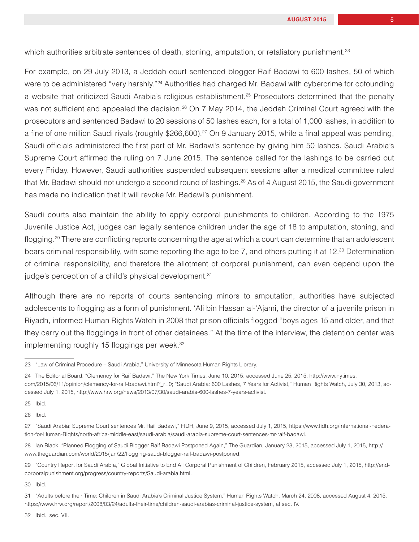which authorities arbitrate sentences of death, stoning, amputation, or retaliatory punishment.<sup>23</sup>

For example, on 29 July 2013, a Jeddah court sentenced blogger Raif Badawi to 600 lashes, 50 of which were to be administered "very harshly."<sup>24</sup> Authorities had charged Mr. Badawi with cybercrime for cofounding a website that criticized Saudi Arabia's religious establishment.25 Prosecutors determined that the penalty was not sufficient and appealed the decision.<sup>26</sup> On 7 May 2014, the Jeddah Criminal Court agreed with the prosecutors and sentenced Badawi to 20 sessions of 50 lashes each, for a total of 1,000 lashes, in addition to a fine of one million Saudi riyals (roughly \$266,600).<sup>27</sup> On 9 January 2015, while a final appeal was pending, Saudi officials administered the first part of Mr. Badawi's sentence by giving him 50 lashes. Saudi Arabia's Supreme Court affirmed the ruling on 7 June 2015. The sentence called for the lashings to be carried out every Friday. However, Saudi authorities suspended subsequent sessions after a medical committee ruled that Mr. Badawi should not undergo a second round of lashings.<sup>28</sup> As of 4 August 2015, the Saudi government has made no indication that it will revoke Mr. Badawi's punishment.

Saudi courts also maintain the ability to apply corporal punishments to children. According to the 1975 Juvenile Justice Act, judges can legally sentence children under the age of 18 to amputation, stoning, and flogging.<sup>29</sup> There are conflicting reports concerning the age at which a court can determine that an adolescent bears criminal responsibility, with some reporting the age to be 7, and others putting it at 12.30 Determination of criminal responsibility, and therefore the allotment of corporal punishment, can even depend upon the judge's perception of a child's physical development.<sup>31</sup>

Although there are no reports of courts sentencing minors to amputation, authorities have subjected adolescents to flogging as a form of punishment. 'Ali bin Hassan al-'Ajami, the director of a juvenile prison in Riyadh, informed Human Rights Watch in 2008 that prison officials flogged "boys ages 15 and older, and that they carry out the floggings in front of other detainees." At the time of the interview, the detention center was implementing roughly 15 floggings per week.<sup>32</sup>

29 "Country Report for Saudi Arabia," Global Initiative to End All Corporal Punishment of Children, February 2015, accessed July 1, 2015, http://endcorporalpunishment.org/progress/country-reports/Saudi-arabia.html.

30 Ibid.

<sup>23</sup> "Law of Criminal Procedure – Saudi Arabia," University of Minnesota Human Rights Library.

<sup>24</sup> The Editorial Board, "Clemency for Raif Badawi," The New York Times, June 10, 2015, accessed June 25, 2015, http://www.nytimes.

com/2015/06/11/opinion/clemency-for-raif-badawi.html?\_r=0; "Saudi Arabia: 600 Lashes, 7 Years for Activist," Human Rights Watch, July 30, 2013, accessed July 1, 2015, http://www.hrw.org/news/2013/07/30/saudi-arabia-600-lashes-7-years-activist.

<sup>25</sup> Ibid.

<sup>26</sup> Ibid.

<sup>27</sup> "Saudi Arabia: Supreme Court sentences Mr. Raif Badawi," FIDH, June 9, 2015, accessed July 1, 2015, https://www.fidh.org/International-Federation-for-Human-Rights/north-africa-middle-east/saudi-arabia/saudi-arabia-supreme-court-sentences-mr-raif-badawi.

<sup>28</sup> Ian Black, "Planned Flogging of Saudi Blogger Raif Badawi Postponed Again," The Guardian, January 23, 2015, accessed July 1, 2015, http:// www.theguardian.com/world/2015/jan/22/flogging-saudi-blogger-raif-badawi-postponed.

<sup>31</sup> "Adults before their Time: Children in Saudi Arabia's Criminal Justice System," Human Rights Watch, March 24, 2008, accessed August 4, 2015, https://www.hrw.org/report/2008/03/24/adults-their-time/children-saudi-arabias-criminal-justice-system, at sec. IV.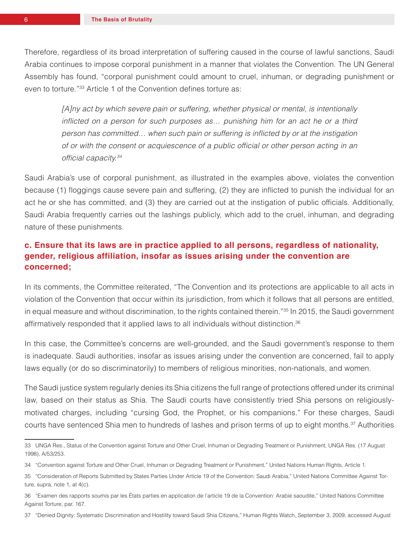Therefore, regardless of its broad interpretation of suffering caused in the course of lawful sanctions, Saudi Arabia continues to impose corporal punishment in a manner that violates the Convention. The UN General Assembly has found, "corporal punishment could amount to cruel, inhuman, or degrading punishment or even to torture."<sup>33</sup> Article 1 of the Convention defines torture as:

*[A]ny act by which severe pain or suffering, whether physical or mental, is intentionally*  inflicted on a person for such purposes as… punishing him for an act he or a third person has committed… when such pain or suffering is inflicted by or at the instigation of or with the consent or acquiescence of a public official or other person acting in an official capacity.*<sup>34</sup>*

Saudi Arabia's use of corporal punishment, as illustrated in the examples above, violates the convention because (1) floggings cause severe pain and suffering, (2) they are inflicted to punish the individual for an act he or she has committed, and (3) they are carried out at the instigation of public officials. Additionally, Saudi Arabia frequently carries out the lashings publicly, which add to the cruel, inhuman, and degrading nature of these punishments.

#### **c. Ensure that its laws are in practice applied to all persons, regardless of nationality, gender, religious affiliation, insofar as issues arising under the convention are concerned;**

In its comments, the Committee reiterated, "The Convention and its protections are applicable to all acts in violation of the Convention that occur within its jurisdiction, from which it follows that all persons are entitled, in equal measure and without discrimination, to the rights contained therein."<sup>35</sup> In 2015, the Saudi government affirmatively responded that it applied laws to all individuals without distinction.<sup>36</sup>

In this case, the Committee's concerns are well-grounded, and the Saudi government's response to them is inadequate. Saudi authorities, insofar as issues arising under the convention are concerned, fail to apply laws equally (or do so discriminatorily) to members of religious minorities, non-nationals, and women.

The Saudi justice system regularly denies its Shia citizens the full range of protections offered under its criminal law, based on their status as Shia. The Saudi courts have consistently tried Shia persons on religiouslymotivated charges, including "cursing God, the Prophet, or his companions." For these charges, Saudi courts have sentenced Shia men to hundreds of lashes and prison terms of up to eight months.<sup>37</sup> Authorities

<sup>33</sup> UNGA Res., Status of the Convention against Torture and Other Cruel, Inhuman or Degrading Treatment or Punishment, UNGA Res. (17 August 1998), A/53/253.

<sup>34</sup> "Convention against Torture and Other Cruel, Inhuman or Degrading Treatment or Punishment," United Nations Human Rights, Article 1.

<sup>35</sup> "Consideration of Reports Submitted by States Parties Under Article 19 of the Convention: Saudi Arabia," United Nations Committee Against Torture, supra, note 1, at 4(c).

<sup>36</sup> "Examen des rapports soumis par les États parties en application de l'article 19 de la Convention: Arabie saoudite," United Nations Committee Against Torture, par. 167.

<sup>37</sup> "Denied Dignity: Systematic Discrimination and Hostility toward Saudi Shia Citizens," Human Rights Watch, September 3, 2009, accessed August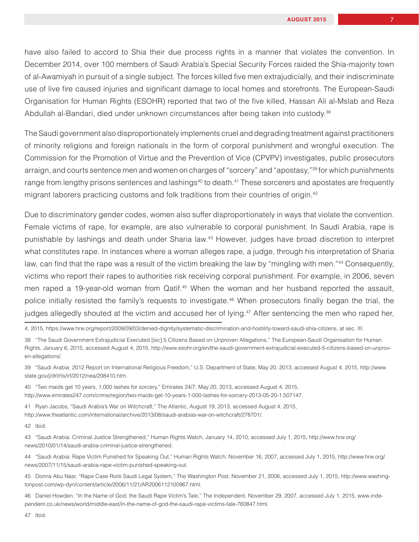have also failed to accord to Shia their due process rights in a manner that violates the convention. In December 2014, over 100 members of Saudi Arabia's Special Security Forces raided the Shia-majority town of al-Awamiyah in pursuit of a single subject. The forces killed five men extrajudicially, and their indiscriminate use of live fire caused injuries and significant damage to local homes and storefronts. The European-Saudi Organisation for Human Rights (ESOHR) reported that two of the five killed, Hassan Ali al-Mslab and Reza Abdullah al-Bandari, died under unknown circumstances after being taken into custody.<sup>38</sup>

The Saudi government also disproportionately implements cruel and degrading treatment against practitioners of minority religions and foreign nationals in the form of corporal punishment and wrongful execution. The Commission for the Promotion of Virtue and the Prevention of Vice (CPVPV) investigates, public prosecutors arraign, and courts sentence men and women on charges of "sorcery" and "apostasy,"39 for which punishments range from lengthy prisons sentences and lashings<sup>40</sup> to death.<sup>41</sup> These sorcerers and apostates are frequently migrant laborers practicing customs and folk traditions from their countries of origin.42

Due to discriminatory gender codes, women also suffer disproportionately in ways that violate the convention. Female victims of rape, for example, are also vulnerable to corporal punishment. In Saudi Arabia, rape is punishable by lashings and death under Sharia law.<sup>43</sup> However, judges have broad discretion to interpret what constitutes rape. In instances where a woman alleges rape, a judge, through his interpretation of Sharia law, can find that the rape was a result of the victim breaking the law by "mingling with men."44 Consequently, victims who report their rapes to authorities risk receiving corporal punishment. For example, in 2006, seven men raped a 19-year-old woman from Qatif.45 When the woman and her husband reported the assault, police initially resisted the family's requests to investigate.<sup>46</sup> When prosecutors finally began the trial, the judges allegedly shouted at the victim and accused her of lying.<sup>47</sup> After sentencing the men who raped her,

40 "Two maids get 10 years, 1,000 lashes for sorcery," Emirates 24/7, May 20, 2013, accessed August 4, 2015, http://www.emirates247.com/crime/region/two-maids-get-10-years-1-000-lashes-for-sorcery-2013-05-20-1.507147.

41 Ryan Jacobs, "Saudi Arabia's War on Witchcraft," The Atlantic, August 19, 2013, accessed August 4, 2015, http://www.theatlantic.com/international/archive/2013/08/saudi-arabias-war-on-witchcraft/278701/.

42 Ibid.

43 "Saudi Arabia: Criminal Justice Strengthened," Human Rights Watch, January 14, 2010, accessed July 1, 2015, http://www.hrw.org/ news/2010/01/14/saudi-arabia-criminal-justice-strengthened.

44 "Saudi Arabia: Rape Victim Punished for Speaking Out," Human Rights Watch, November 16, 2007, accessed July 1, 2015, http://www.hrw.org/ news/2007/11/15/saudi-arabia-rape-victim-punished-speaking-out.

45 Donna Abu Nasr, "Rape Case Roils Saudi Legal System," The Washington Post, November 21, 2006, accessed July 1, 2015, http://www.washingtonpost.com/wp-dyn/content/article/2006/11/21/AR2006112100967.html.

<sup>4, 2015,</sup> https://www.hrw.org/report/2009/09/03/denied-dignity/systematic-discrimination-and-hostility-toward-saudi-shia-citizens, at sec. III.

<sup>38</sup> "The Saudi Government Extrajudicial Executed [sic] 5 Citizens Based on Unproven Allegations," The European-Saudi Organisation for Human Rights, January 6, 2015, accessed August 4, 2015, http://www.esohr.org/en/the-saudi-government-extrajudicial-executed-5-citizens-based-on-unproven-allegations/.

<sup>39</sup> "Saudi Arabia: 2012 Report on International Religious Freedom," U.S. Department of State, May 20, 2013, accessed August 4, 2015, http://www. state.gov/j/drl/rls/irf/2012/nea/208410.htm.

<sup>46</sup> Daniel Howden, "In the Name of God: the Saudi Rape Victim's Tale," The Independent, November 29, 2007, accessed July 1, 2015, www.independent.co.uk/news/world/middle-east/in-the-name-of-god-the-saudi-rape-victims-tale-760847.html.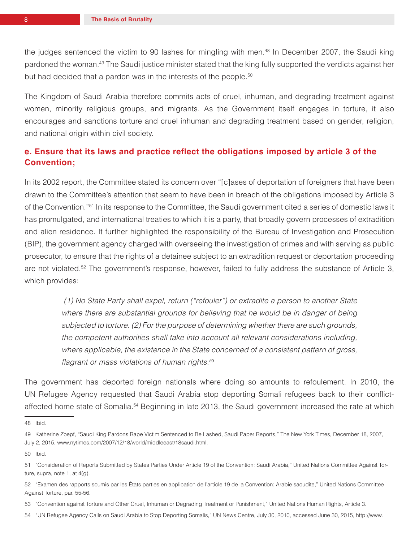the judges sentenced the victim to 90 lashes for mingling with men.<sup>48</sup> In December 2007, the Saudi king pardoned the woman.49 The Saudi justice minister stated that the king fully supported the verdicts against her but had decided that a pardon was in the interests of the people.<sup>50</sup>

The Kingdom of Saudi Arabia therefore commits acts of cruel, inhuman, and degrading treatment against women, minority religious groups, and migrants. As the Government itself engages in torture, it also encourages and sanctions torture and cruel inhuman and degrading treatment based on gender, religion, and national origin within civil society.

#### **e. Ensure that its laws and practice reflect the obligations imposed by article 3 of the Convention;**

In its 2002 report, the Committee stated its concern over "[c]ases of deportation of foreigners that have been drawn to the Committee's attention that seem to have been in breach of the obligations imposed by Article 3 of the Convention."51 In its response to the Committee, the Saudi government cited a series of domestic laws it has promulgated, and international treaties to which it is a party, that broadly govern processes of extradition and alien residence. It further highlighted the responsibility of the Bureau of Investigation and Prosecution (BIP), the government agency charged with overseeing the investigation of crimes and with serving as public prosecutor, to ensure that the rights of a detainee subject to an extradition request or deportation proceeding are not violated.52 The government's response, however, failed to fully address the substance of Article 3, which provides:

> (1) No State Party shall expel, return ("refouler") or extradite a person to another State where there are substantial grounds for believing that he would be in danger of being subjected to torture. (2) For the purpose of determining whether there are such grounds, the competent authorities shall take into account all relevant considerations including, where applicable, the existence in the State concerned of a consistent pattern of gross, flagrant or mass violations of human rights.*<sup>53</sup>*

The government has deported foreign nationals where doing so amounts to refoulement. In 2010, the UN Refugee Agency requested that Saudi Arabia stop deporting Somali refugees back to their conflictaffected home state of Somalia.<sup>54</sup> Beginning in late 2013, the Saudi government increased the rate at which

50 Ibid.

<sup>48</sup> Ibid.

<sup>49</sup> Katherine Zoepf, "Saudi King Pardons Rape Victim Sentenced to Be Lashed, Saudi Paper Reports," The New York Times, December 18, 2007, July 2, 2015, www.nytimes.com/2007/12/18/world/middleeast/18saudi.html.

<sup>51</sup> "Consideration of Reports Submitted by States Parties Under Article 19 of the Convention: Saudi Arabia," United Nations Committee Against Torture, supra, note 1, at 4(g).

<sup>52</sup> "Examen des rapports soumis par les États parties en application de l'article 19 de la Convention: Arabie saoudite," United Nations Committee Against Torture, par. 55-56.

<sup>53</sup> "Convention against Torture and Other Cruel, Inhuman or Degrading Treatment or Punishment," United Nations Human Rights, Article 3.

<sup>54</sup> "UN Refugee Agency Calls on Saudi Arabia to Stop Deporting Somalis," UN News Centre, July 30, 2010, accessed June 30, 2015, http://www.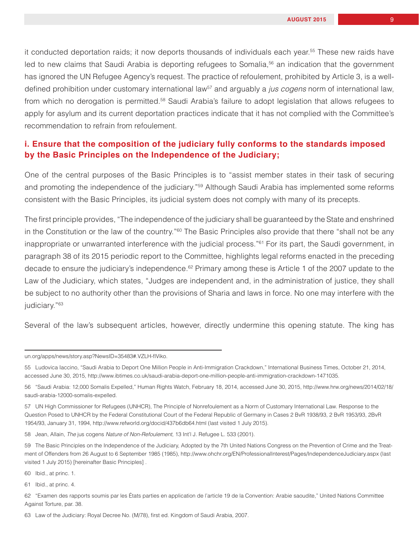it conducted deportation raids; it now deports thousands of individuals each year.<sup>55</sup> These new raids have led to new claims that Saudi Arabia is deporting refugees to Somalia,<sup>56</sup> an indication that the government has ignored the UN Refugee Agency's request. The practice of refoulement, prohibited by Article 3, is a welldefined prohibition under customary international law<sup>57</sup> and arguably a *jus cogens* norm of international law, from which no derogation is permitted.<sup>58</sup> Saudi Arabia's failure to adopt legislation that allows refugees to apply for asylum and its current deportation practices indicate that it has not complied with the Committee's recommendation to refrain from refoulement.

#### **i. Ensure that the composition of the judiciary fully conforms to the standards imposed by the Basic Principles on the Independence of the Judiciary;**

One of the central purposes of the Basic Principles is to "assist member states in their task of securing and promoting the independence of the judiciary."<sup>59</sup> Although Saudi Arabia has implemented some reforms consistent with the Basic Principles, its judicial system does not comply with many of its precepts.

The first principle provides, "The independence of the judiciary shall be guaranteed by the State and enshrined in the Constitution or the law of the country."<sup>60</sup> The Basic Principles also provide that there "shall not be any inappropriate or unwarranted interference with the judicial process."61 For its part, the Saudi government, in paragraph 38 of its 2015 periodic report to the Committee, highlights legal reforms enacted in the preceding decade to ensure the judiciary's independence.62 Primary among these is Article 1 of the 2007 update to the Law of the Judiciary, which states, "Judges are independent and, in the administration of justice, they shall be subject to no authority other than the provisions of Sharia and laws in force. No one may interfere with the judiciary."<sup>63</sup>

Several of the law's subsequent articles, however, directly undermine this opening statute. The king has

un.org/apps/news/story.asp?NewsID=35483#.VZLH-flViko.

60 Ibid., at princ. 1.

61 Ibid., at princ. 4.

<sup>55</sup> Ludovica Iaccino, "Saudi Arabia to Deport One Million People in Anti-Immigration Crackdown," International Business Times, October 21, 2014, accessed June 30, 2015, http://www.ibtimes.co.uk/saudi-arabia-deport-one-million-people-anti-immigration-crackdown-1471035.

<sup>56</sup> "Saudi Arabia: 12,000 Somalis Expelled," Human Rights Watch, February 18, 2014, accessed June 30, 2015, http://www.hrw.org/news/2014/02/18/ saudi-arabia-12000-somalis-expelled.

<sup>57</sup> UN High Commissioner for Refugees (UNHCR), The Principle of Nonrefoulement as a Norm of Customary International Law. Response to the Question Posed to UNHCR by the Federal Constitutional Court of the Federal Republic of Germany in Cases 2 BvR 1938/93, 2 BvR 1953/93, 2BvR 1954/93, January 31, 1994, http://www.refworld.org/docid/437b6db64.html (last visited 1 July 2015).

<sup>58</sup> Jean, Allain, *The* jus cogens *Nature of Non-Refoulement*, 13 Int'l J. Refugee L. 533 (2001).

<sup>59</sup> The Basic Principles on the Independence of the Judiciary, Adopted by the 7th United Nations Congress on the Prevention of Crime and the Treatment of Offenders from 26 August to 6 September 1985 (1985), http://www.ohchr.org/EN/ProfessionalInterest/Pages/IndependenceJudiciary.aspx (last visited 1 July 2015) [hereinafter Basic Principles] .

<sup>62</sup> "Examen des rapports soumis par les États parties en application de l'article 19 de la Convention: Arabie saoudite," United Nations Committee Against Torture, par. 38.

<sup>63</sup> Law of the Judiciary: Royal Decree No. (M/78), first ed. Kingdom of Saudi Arabia, 2007.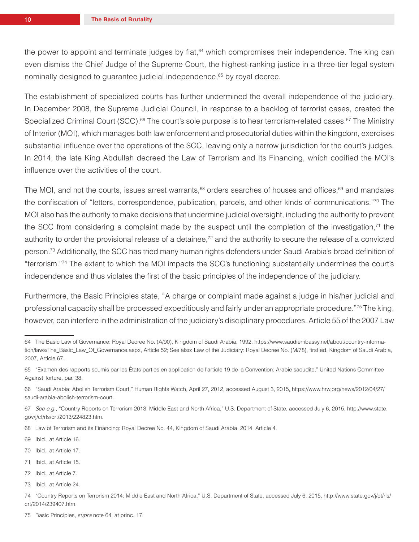the power to appoint and terminate judges by fiat,<sup>64</sup> which compromises their independence. The king can even dismiss the Chief Judge of the Supreme Court, the highest-ranking justice in a three-tier legal system nominally designed to guarantee judicial independence,<sup>65</sup> by royal decree.

The establishment of specialized courts has further undermined the overall independence of the judiciary. In December 2008, the Supreme Judicial Council, in response to a backlog of terrorist cases, created the Specialized Criminal Court (SCC).<sup>66</sup> The court's sole purpose is to hear terrorism-related cases.<sup>67</sup> The Ministry of Interior (MOI), which manages both law enforcement and prosecutorial duties within the kingdom, exercises substantial influence over the operations of the SCC, leaving only a narrow jurisdiction for the court's judges. In 2014, the late King Abdullah decreed the Law of Terrorism and Its Financing, which codified the MOI's influence over the activities of the court.

The MOI, and not the courts, issues arrest warrants,<sup>68</sup> orders searches of houses and offices,<sup>69</sup> and mandates the confiscation of "letters, correspondence, publication, parcels, and other kinds of communications."70 The MOI also has the authority to make decisions that undermine judicial oversight, including the authority to prevent the SCC from considering a complaint made by the suspect until the completion of the investigation,<sup>71</sup> the authority to order the provisional release of a detainee, $72$  and the authority to secure the release of a convicted person.73 Additionally, the SCC has tried many human rights defenders under Saudi Arabia's broad definition of "terrorism."<sup>74</sup> The extent to which the MOI impacts the SCC's functioning substantially undermines the court's independence and thus violates the first of the basic principles of the independence of the judiciary.

Furthermore, the Basic Principles state, "A charge or complaint made against a judge in his/her judicial and professional capacity shall be processed expeditiously and fairly under an appropriate procedure."75 The king, however, can interfere in the administration of the judiciary's disciplinary procedures. Article 55 of the 2007 Law

- 69 Ibid., at Article 16.
- 70 Ibid., at Article 17.
- 71 Ibid., at Article 15.
- 72 Ibid., at Article 7.
- 73 Ibid., at Article 24.

<sup>64</sup> The Basic Law of Governance: Royal Decree No. (A/90), Kingdom of Saudi Arabia, 1992, https://www.saudiembassy.net/about/country-information/laws/The\_Basic\_Law\_Of\_Governance.aspx, Article 52; See also: Law of the Judiciary: Royal Decree No. (M/78), first ed. Kingdom of Saudi Arabia, 2007, Article 67.

<sup>65</sup> "Examen des rapports soumis par les États parties en application de l'article 19 de la Convention: Arabie saoudite," United Nations Committee Against Torture, par. 38.

<sup>66</sup> "Saudi Arabia: Abolish Terrorism Court," Human Rights Watch, April 27, 2012, accessed August 3, 2015, https://www.hrw.org/news/2012/04/27/ saudi-arabia-abolish-terrorism-court.

<sup>67</sup> See e.g., "Country Reports on Terrorism 2013: Middle East and North Africa," U.S. Department of State, accessed July 6, 2015, http://www.state. gov/j/ct/rls/crt/2013/224823.htm.

<sup>68</sup> Law of Terrorism and its Financing: Royal Decree No. 44, Kingdom of Saudi Arabia, 2014, Article 4.

<sup>74</sup> "Country Reports on Terrorism 2014: Middle East and North Africa," U.S. Department of State, accessed July 6, 2015, http://www.state.gov/j/ct/rls/ crt/2014/239407.htm.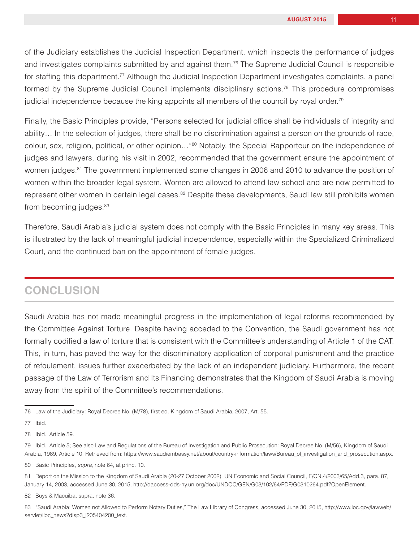of the Judiciary establishes the Judicial Inspection Department, which inspects the performance of judges and investigates complaints submitted by and against them.<sup>76</sup> The Supreme Judicial Council is responsible for staffing this department.<sup>77</sup> Although the Judicial Inspection Department investigates complaints, a panel formed by the Supreme Judicial Council implements disciplinary actions.<sup>78</sup> This procedure compromises judicial independence because the king appoints all members of the council by royal order.<sup>79</sup>

Finally, the Basic Principles provide, "Persons selected for judicial office shall be individuals of integrity and ability… In the selection of judges, there shall be no discrimination against a person on the grounds of race, colour, sex, religion, political, or other opinion…"80 Notably, the Special Rapporteur on the independence of judges and lawyers, during his visit in 2002, recommended that the government ensure the appointment of women judges.<sup>81</sup> The government implemented some changes in 2006 and 2010 to advance the position of women within the broader legal system. Women are allowed to attend law school and are now permitted to represent other women in certain legal cases.<sup>82</sup> Despite these developments, Saudi law still prohibits women from becoming judges.<sup>83</sup>

Therefore, Saudi Arabia's judicial system does not comply with the Basic Principles in many key areas. This is illustrated by the lack of meaningful judicial independence, especially within the Specialized Criminalized Court, and the continued ban on the appointment of female judges.

# **CONCLUSION**

Saudi Arabia has not made meaningful progress in the implementation of legal reforms recommended by the Committee Against Torture. Despite having acceded to the Convention, the Saudi government has not formally codified a law of torture that is consistent with the Committee's understanding of Article 1 of the CAT. This, in turn, has paved the way for the discriminatory application of corporal punishment and the practice of refoulement, issues further exacerbated by the lack of an independent judiciary. Furthermore, the recent passage of the Law of Terrorism and Its Financing demonstrates that the Kingdom of Saudi Arabia is moving away from the spirit of the Committee's recommendations.

<sup>76</sup> Law of the Judiciary: Royal Decree No. (M/78), first ed. Kingdom of Saudi Arabia, 2007, Art. 55.

<sup>77</sup> Ibid.

<sup>78</sup> Ibid., Article 59.

<sup>79</sup> Ibid., Article 5; See also Law and Regulations of the Bureau of Investigation and Public Prosecution: Royal Decree No. (M/56), Kingdom of Saudi Arabia, 1989, Article 10. Retrieved from: https://www.saudiembassy.net/about/country-information/laws/Bureau\_of\_investigation\_and\_prosecution.aspx.

<sup>80</sup> Basic Principles, *supra*, note 64, at princ. 10.

<sup>81</sup> Report on the Mission to the Kingdom of Saudi Arabia (20-27 October 2002), UN Economic and Social Council, E/CN.4/2003/65/Add.3, para. 87, January 14, 2003, accessed June 30, 2015, http://daccess-dds-ny.un.org/doc/UNDOC/GEN/G03/102/64/PDF/G0310264.pdf?OpenElement.

<sup>82</sup> Buys & Macuiba, supra, note 36.

<sup>83</sup> "Saudi Arabia: Women not Allowed to Perform Notary Duties," The Law Library of Congress, accessed June 30, 2015, http://www.loc.gov/lawweb/ servlet/lloc\_news?disp3\_l205404200\_text.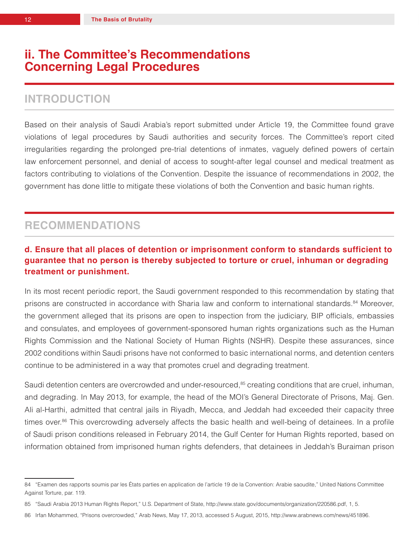# **ii. The Committee's Recommendations Concerning Legal Procedures**

## **INTRODUCTION**

Based on their analysis of Saudi Arabia's report submitted under Article 19, the Committee found grave violations of legal procedures by Saudi authorities and security forces. The Committee's report cited irregularities regarding the prolonged pre-trial detentions of inmates, vaguely defined powers of certain law enforcement personnel, and denial of access to sought-after legal counsel and medical treatment as factors contributing to violations of the Convention. Despite the issuance of recommendations in 2002, the government has done little to mitigate these violations of both the Convention and basic human rights.

# **RECOMMENDATIONS**

#### **d. Ensure that all places of detention or imprisonment conform to standards sufficient to guarantee that no person is thereby subjected to torture or cruel, inhuman or degrading treatment or punishment.**

In its most recent periodic report, the Saudi government responded to this recommendation by stating that prisons are constructed in accordance with Sharia law and conform to international standards.<sup>84</sup> Moreover, the government alleged that its prisons are open to inspection from the judiciary, BIP officials, embassies and consulates, and employees of government-sponsored human rights organizations such as the Human Rights Commission and the National Society of Human Rights (NSHR). Despite these assurances, since 2002 conditions within Saudi prisons have not conformed to basic international norms, and detention centers continue to be administered in a way that promotes cruel and degrading treatment.

Saudi detention centers are overcrowded and under-resourced,<sup>85</sup> creating conditions that are cruel, inhuman, and degrading. In May 2013, for example, the head of the MOI's General Directorate of Prisons, Maj. Gen. Ali al-Harthi, admitted that central jails in Riyadh, Mecca, and Jeddah had exceeded their capacity three times over.<sup>86</sup> This overcrowding adversely affects the basic health and well-being of detainees. In a profile of Saudi prison conditions released in February 2014, the Gulf Center for Human Rights reported, based on information obtained from imprisoned human rights defenders, that detainees in Jeddah's Buraiman prison

<sup>84</sup> "Examen des rapports soumis par les États parties en application de l'article 19 de la Convention: Arabie saoudite," United Nations Committee Against Torture, par. 119.

<sup>85</sup> "Saudi Arabia 2013 Human Rights Report," U.S. Department of State, http://www.state.gov/documents/organization/220586.pdf, 1, 5.

<sup>86</sup> Irfan Mohammed, "Prisons overcrowded," Arab News, May 17, 2013, accessed 5 August, 2015, http://www.arabnews.com/news/451896.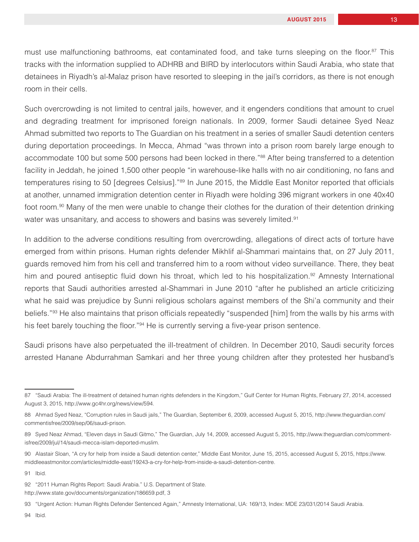must use malfunctioning bathrooms, eat contaminated food, and take turns sleeping on the floor.<sup>87</sup> This tracks with the information supplied to ADHRB and BIRD by interlocutors within Saudi Arabia, who state that detainees in Riyadh's al-Malaz prison have resorted to sleeping in the jail's corridors, as there is not enough room in their cells.

Such overcrowding is not limited to central jails, however, and it engenders conditions that amount to cruel and degrading treatment for imprisoned foreign nationals. In 2009, former Saudi detainee Syed Neaz Ahmad submitted two reports to The Guardian on his treatment in a series of smaller Saudi detention centers during deportation proceedings. In Mecca, Ahmad "was thrown into a prison room barely large enough to accommodate 100 but some 500 persons had been locked in there."88 After being transferred to a detention facility in Jeddah, he joined 1,500 other people "in warehouse-like halls with no air conditioning, no fans and temperatures rising to 50 [degrees Celsius]."<sup>89</sup> In June 2015, the Middle East Monitor reported that officials at another, unnamed immigration detention center in Riyadh were holding 396 migrant workers in one 40x40 foot room.<sup>90</sup> Many of the men were unable to change their clothes for the duration of their detention drinking water was unsanitary, and access to showers and basins was severely limited.<sup>91</sup>

In addition to the adverse conditions resulting from overcrowding, allegations of direct acts of torture have emerged from within prisons. Human rights defender Mikhlif al-Shammari maintains that, on 27 July 2011, guards removed him from his cell and transferred him to a room without video surveillance. There, they beat him and poured antiseptic fluid down his throat, which led to his hospitalization.<sup>92</sup> Amnesty International reports that Saudi authorities arrested al-Shammari in June 2010 "after he published an article criticizing what he said was prejudice by Sunni religious scholars against members of the Shi'a community and their beliefs."<sup>93</sup> He also maintains that prison officials repeatedly "suspended [him] from the walls by his arms with his feet barely touching the floor."<sup>94</sup> He is currently serving a five-year prison sentence.

Saudi prisons have also perpetuated the ill-treatment of children. In December 2010, Saudi security forces arrested Hanane Abdurrahman Samkari and her three young children after they protested her husband's

94 Ibid.

<sup>87</sup> "Saudi Arabia: The ill-treatment of detained human rights defenders in the Kingdom," Gulf Center for Human Rights, February 27, 2014, accessed August 3, 2015, http://www.gc4hr.org/news/view/594.

<sup>88</sup> Ahmad Syed Neaz, "Corruption rules in Saudi jails," The Guardian, September 6, 2009, accessed August 5, 2015, http://www.theguardian.com/ commentisfree/2009/sep/06/saudi-prison.

<sup>89</sup> Syed Neaz Ahmad, "Eleven days in Saudi Gitmo," The Guardian, July 14, 2009, accessed August 5, 2015, http://www.theguardian.com/commentisfree/2009/jul/14/saudi-mecca-islam-deported-muslim.

<sup>90</sup> Alastair Sloan, "A cry for help from inside a Saudi detention center," Middle East Monitor, June 15, 2015, accessed August 5, 2015, https://www. middleeastmonitor.com/articles/middle-east/19243-a-cry-for-help-from-inside-a-saudi-detention-centre.

<sup>91</sup> Ibid.

<sup>92</sup> "2011 Human Rights Report: Saudi Arabia." U.S. Department of State.

http://www.state.gov/documents/organization/186659.pdf, 3

<sup>93</sup> "Urgent Action: Human Rights Defender Sentenced Again," Amnesty International, UA: 169/13, Index: MDE 23/031/2014 Saudi Arabia.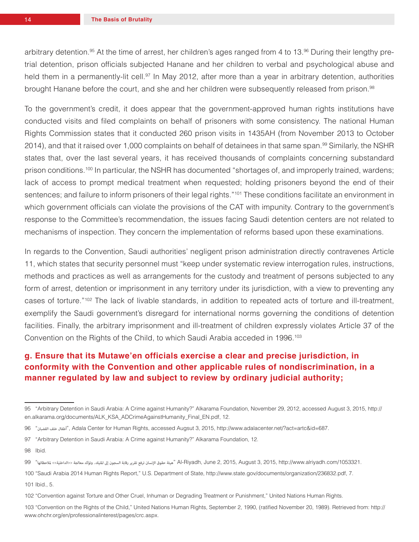arbitrary detention.<sup>95</sup> At the time of arrest, her children's ages ranged from 4 to 13.<sup>96</sup> During their lengthy pretrial detention, prison officials subjected Hanane and her children to verbal and psychological abuse and held them in a permanently-lit cell.<sup>97</sup> In May 2012, after more than a year in arbitrary detention, authorities brought Hanane before the court, and she and her children were subsequently released from prison.<sup>98</sup>

To the government's credit, it does appear that the government-approved human rights institutions have conducted visits and filed complaints on behalf of prisoners with some consistency. The national Human Rights Commission states that it conducted 260 prison visits in 1435AH (from November 2013 to October 2014), and that it raised over 1,000 complaints on behalf of detainees in that same span.<sup>99</sup> Similarly, the NSHR states that, over the last several years, it has received thousands of complaints concerning substandard prison conditions.100 In particular, the NSHR has documented "shortages of, and improperly trained, wardens; lack of access to prompt medical treatment when requested; holding prisoners beyond the end of their sentences; and failure to inform prisoners of their legal rights."<sup>101</sup> These conditions facilitate an environment in which government officials can violate the provisions of the CAT with impunity. Contrary to the government's response to the Committee's recommendation, the issues facing Saudi detention centers are not related to mechanisms of inspection. They concern the implementation of reforms based upon these examinations.

In regards to the Convention, Saudi authorities' negligent prison administration directly contravenes Article 11, which states that security personnel must "keep under systematic review interrogation rules, instructions, methods and practices as well as arrangements for the custody and treatment of persons subjected to any form of arrest, detention or imprisonment in any territory under its jurisdiction, with a view to preventing any cases of torture."102 The lack of livable standards, in addition to repeated acts of torture and ill-treatment, exemplify the Saudi government's disregard for international norms governing the conditions of detention facilities. Finally, the arbitrary imprisonment and ill-treatment of children expressly violates Article 37 of the Convention on the Rights of the Child, to which Saudi Arabia acceded in 1996.<sup>103</sup>

#### **g. Ensure that its Mutawe'en officials exercise a clear and precise jurisdiction, in conformity with the Convention and other applicable rules of nondiscrimination, in a manner regulated by law and subject to review by ordinary judicial authority;**

101 Ibid., 5.

<sup>95</sup> "Arbitrary Detention in Saudi Arabia: A Crime against Humanity?" Alkarama Foundation, November 29, 2012, accessed August 3, 2015, http:// en.alkarama.org/documents/ALK\_KSA\_ADCrimeAgainstHumanity\_Final\_EN.pdf, 12.

<sup>96 &</sup>quot;القضبان خلف أطفال", Adala Center for Human Rights, accessed Augsut 3, 2015, http://www.adalacenter.net/?act=artc&id=687.

<sup>97</sup> "Arbitrary Detention in Saudi Arabia: A Crime against Humanity?" Alkarama Foundation, 12.

<sup>98</sup> Ibid.

 <sup>/1053321.</sup>com.alriyadh.www://http 2015, 3, August 2015, 2, June ,Riyadh-Al" هيئة حقوق اإلنسان ترفع تقرير رقابة السجون إىل املليك.. وتؤكد معالجة >>الداخلية<< ملالحظاتها" 99

<sup>100</sup> "Saudi Arabia 2014 Human Rights Report," U.S. Department of State, http://www.state.gov/documents/organization/236832.pdf, 7.

<sup>102</sup> "Convention against Torture and Other Cruel, Inhuman or Degrading Treatment or Punishment," United Nations Human Rights.

<sup>103</sup> "Convention on the Rights of the Child," United Nations Human Rights, September 2, 1990, (ratified November 20, 1989). Retrieved from: http:// www.ohchr.org/en/professionalinterest/pages/crc.aspx.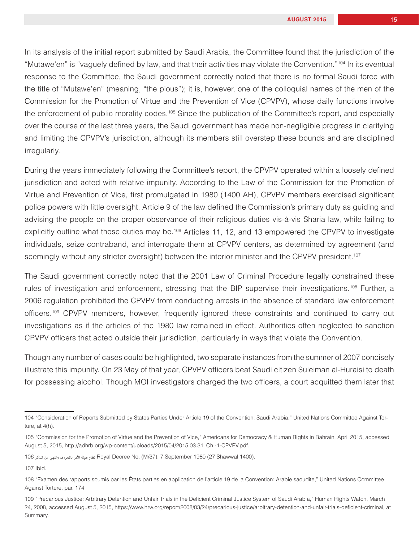In its analysis of the initial report submitted by Saudi Arabia, the Committee found that the jurisdiction of the "Mutawe'en" is "vaguely defined by law, and that their activities may violate the Convention."104 In its eventual response to the Committee, the Saudi government correctly noted that there is no formal Saudi force with the title of "Mutawe'en" (meaning, "the pious"); it is, however, one of the colloquial names of the men of the Commission for the Promotion of Virtue and the Prevention of Vice (CPVPV), whose daily functions involve the enforcement of public morality codes.<sup>105</sup> Since the publication of the Committee's report, and especially over the course of the last three years, the Saudi government has made non-negligible progress in clarifying and limiting the CPVPV's jurisdiction, although its members still overstep these bounds and are disciplined irregularly.

During the years immediately following the Committee's report, the CPVPV operated within a loosely defined jurisdiction and acted with relative impunity. According to the Law of the Commission for the Promotion of Virtue and Prevention of Vice, first promulgated in 1980 (1400 AH), CPVPV members exercised significant police powers with little oversight. Article 9 of the law defined the Commission's primary duty as guiding and advising the people on the proper observance of their religious duties vis-à-vis Sharia law, while failing to explicitly outline what those duties may be.<sup>106</sup> Articles 11, 12, and 13 empowered the CPVPV to investigate individuals, seize contraband, and interrogate them at CPVPV centers, as determined by agreement (and seemingly without any stricter oversight) between the interior minister and the CPVPV president.<sup>107</sup>

The Saudi government correctly noted that the 2001 Law of Criminal Procedure legally constrained these rules of investigation and enforcement, stressing that the BIP supervise their investigations.108 Further, a 2006 regulation prohibited the CPVPV from conducting arrests in the absence of standard law enforcement officers.109 CPVPV members, however, frequently ignored these constraints and continued to carry out investigations as if the articles of the 1980 law remained in effect. Authorities often neglected to sanction CPVPV officers that acted outside their jurisdiction, particularly in ways that violate the Convention.

Though any number of cases could be highlighted, two separate instances from the summer of 2007 concisely illustrate this impunity. On 23 May of that year, CPVPV officers beat Saudi citizen Suleiman al-Huraisi to death for possessing alcohol. Though MOI investigators charged the two officers, a court acquitted them later that

<sup>104</sup> "Consideration of Reports Submitted by States Parties Under Article 19 of the Convention: Saudi Arabia," United Nations Committee Against Torture, at 4(h).

<sup>105</sup> "Commission for the Promotion of Virtue and the Prevention of Vice," Americans for Democracy & Human Rights in Bahrain, April 2015, accessed August 5, 2015, http://adhrb.org/wp-content/uploads/2015/04/2015.03.31\_Ch.-1-CPVPV.pdf.

<sup>.(1400</sup> Shawwal 27 (1980 September 7 .)/37M (.No Decree Royal نظام هيئة األمر باملعروف والنهي عن املنكر 106

<sup>107</sup> Ibid.

<sup>108</sup> "Examen des rapports soumis par les États parties en application de l'article 19 de la Convention: Arabie saoudite," United Nations Committee Against Torture, par. 174

<sup>109</sup> "Precarious Justice: Arbitrary Detention and Unfair Trials in the Deficient Criminal Justice System of Saudi Arabia," Human Rights Watch, March 24, 2008, accessed August 5, 2015, https://www.hrw.org/report/2008/03/24/precarious-justice/arbitrary-detention-and-unfair-trials-deficient-criminal, at Summary.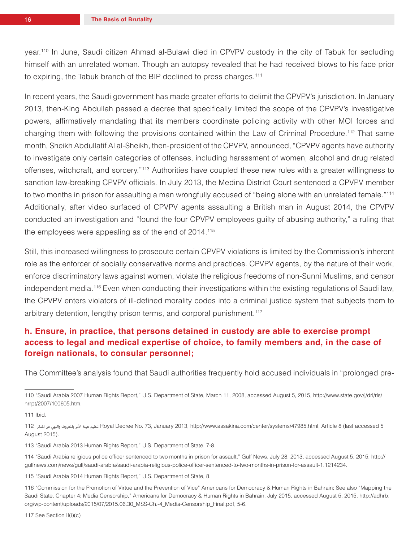year.110 In June, Saudi citizen Ahmad al-Bulawi died in CPVPV custody in the city of Tabuk for secluding himself with an unrelated woman. Though an autopsy revealed that he had received blows to his face prior to expiring, the Tabuk branch of the BIP declined to press charges.<sup>111</sup>

In recent years, the Saudi government has made greater efforts to delimit the CPVPV's jurisdiction. In January 2013, then-King Abdullah passed a decree that specifically limited the scope of the CPVPV's investigative powers, affirmatively mandating that its members coordinate policing activity with other MOI forces and charging them with following the provisions contained within the Law of Criminal Procedure.112 That same month, Sheikh Abdullatif Al al-Sheikh, then-president of the CPVPV, announced, "CPVPV agents have authority to investigate only certain categories of offenses, including harassment of women, alcohol and drug related offenses, witchcraft, and sorcery."113 Authorities have coupled these new rules with a greater willingness to sanction law-breaking CPVPV officials. In July 2013, the Medina District Court sentenced a CPVPV member to two months in prison for assaulting a man wrongfully accused of "being alone with an unrelated female."<sup>114</sup> Additionally, after video surfaced of CPVPV agents assaulting a British man in August 2014, the CPVPV conducted an investigation and "found the four CPVPV employees guilty of abusing authority," a ruling that the employees were appealing as of the end of 2014.115

Still, this increased willingness to prosecute certain CPVPV violations is limited by the Commission's inherent role as the enforcer of socially conservative norms and practices. CPVPV agents, by the nature of their work, enforce discriminatory laws against women, violate the religious freedoms of non-Sunni Muslims, and censor independent media.116 Even when conducting their investigations within the existing regulations of Saudi law, the CPVPV enters violators of ill-defined morality codes into a criminal justice system that subjects them to arbitrary detention, lengthy prison terms, and corporal punishment.<sup>117</sup>

#### **h. Ensure, in practice, that persons detained in custody are able to exercise prompt access to legal and medical expertise of choice, to family members and, in the case of foreign nationals, to consular personnel;**

The Committee's analysis found that Saudi authorities frequently hold accused individuals in "prolonged pre-

- 114 "Saudi Arabia religious police officer sentenced to two months in prison for assault," Gulf News, July 28, 2013, accessed August 5, 2015, http:// gulfnews.com/news/gulf/saudi-arabia/saudi-arabia-religious-police-officer-sentenced-to-two-months-in-prison-for-assault-1.1214234.
- 115 "Saudi Arabia 2014 Human Rights Report," U.S. Department of State, 8.
- 116 "Commission for the Promotion of Virtue and the Prevention of Vice" Americans for Democracy & Human Rights in Bahrain; See also "Mapping the Saudi State, Chapter 4: Media Censorship," Americans for Democracy & Human Rights in Bahrain, July 2015, accessed August 5, 2015, http://adhrb. org/wp-content/uploads/2015/07/2015.06.30\_MSS-Ch.-4\_Media-Censorship\_Final.pdf, 5-6.

<sup>110</sup> "Saudi Arabia 2007 Human Rights Report," U.S. Department of State, March 11, 2008, accessed August 5, 2015, http://www.state.gov/j/drl/rls/ hrrpt/2007/100605.htm.

<sup>111</sup> Ibid.

<sup>112</sup> املنكر عن والنهي باملعروف األمر هيئة تنظيم Royal Decree No. 73, January 2013, http://www.assakina.com/center/systems/47985.html, Article 8 (last accessed 5 August 2015).

<sup>113</sup> "Saudi Arabia 2013 Human Rights Report," U.S. Department of State, 7-8.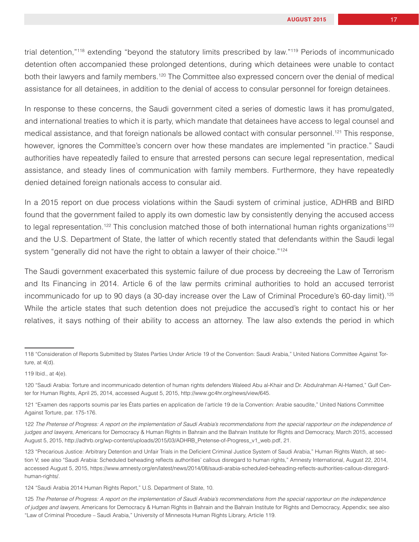trial detention,"<sup>118</sup> extending "beyond the statutory limits prescribed by law."119 Periods of incommunicado detention often accompanied these prolonged detentions, during which detainees were unable to contact both their lawyers and family members.<sup>120</sup> The Committee also expressed concern over the denial of medical assistance for all detainees, in addition to the denial of access to consular personnel for foreign detainees.

In response to these concerns, the Saudi government cited a series of domestic laws it has promulgated, and international treaties to which it is party, which mandate that detainees have access to legal counsel and medical assistance, and that foreign nationals be allowed contact with consular personnel.<sup>121</sup> This response, however, ignores the Committee's concern over how these mandates are implemented "in practice." Saudi authorities have repeatedly failed to ensure that arrested persons can secure legal representation, medical assistance, and steady lines of communication with family members. Furthermore, they have repeatedly denied detained foreign nationals access to consular aid.

In a 2015 report on due process violations within the Saudi system of criminal justice, ADHRB and BIRD found that the government failed to apply its own domestic law by consistently denying the accused access to legal representation.<sup>122</sup> This conclusion matched those of both international human rights organizations<sup>123</sup> and the U.S. Department of State, the latter of which recently stated that defendants within the Saudi legal system "generally did not have the right to obtain a lawyer of their choice."<sup>124</sup>

The Saudi government exacerbated this systemic failure of due process by decreeing the Law of Terrorism and Its Financing in 2014. Article 6 of the law permits criminal authorities to hold an accused terrorist incommunicado for up to 90 days (a 30-day increase over the Law of Criminal Procedure's 60-day limit).125 While the article states that such detention does not prejudice the accused's right to contact his or her relatives, it says nothing of their ability to access an attorney. The law also extends the period in which

<sup>118</sup> "Consideration of Reports Submitted by States Parties Under Article 19 of the Convention: Saudi Arabia," United Nations Committee Against Torture, at 4(d).

<sup>119</sup> Ibid., at 4(e).

<sup>120</sup> "Saudi Arabia: Torture and incommunicado detention of human rights defenders Waleed Abu al-Khair and Dr. Abdulrahman Al-Hamed," Gulf Center for Human Rights, April 25, 2014, accessed August 5, 2015, http://www.gc4hr.org/news/view/645.

<sup>121</sup> "Examen des rapports soumis par les États parties en application de l'article 19 de la Convention: Arabie saoudite," United Nations Committee Against Torture, par. 175-176.

<sup>122</sup> The Pretense of Progress: A report on the implementation of Saudi Arabia's recommendations from the special rapporteur on the independence of judges and lawyers, Americans for Democracy & Human Rights in Bahrain and the Bahrain Institute for Rights and Democracy, March 2015, accessed August 5, 2015, http://adhrb.org/wp-content/uploads/2015/03/ADHRB\_Pretense-of-Progress\_v1\_web.pdf, 21.

<sup>123</sup> "Precarious Justice: Arbitrary Detention and Unfair Trials in the Deficient Criminal Justice System of Saudi Arabia," Human Rights Watch, at section V; see also "Saudi Arabia: Scheduled beheading reflects authorities' callous disregard to human rights," Amnesty International, August 22, 2014, accessed August 5, 2015, https://www.amnesty.org/en/latest/news/2014/08/saudi-arabia-scheduled-beheading-reflects-authorities-callous-disregardhuman-rights/.

<sup>124</sup> "Saudi Arabia 2014 Human Rights Report," U.S. Department of State, 10.

<sup>125</sup> The Pretense of Progress: A report on the implementation of Saudi Arabia's recommendations from the special rapporteur on the independence of judges and lawyers, Americans for Democracy & Human Rights in Bahrain and the Bahrain Institute for Rights and Democracy, Appendix; see also "Law of Criminal Procedure – Saudi Arabia," University of Minnesota Human Rights Library, Article 119.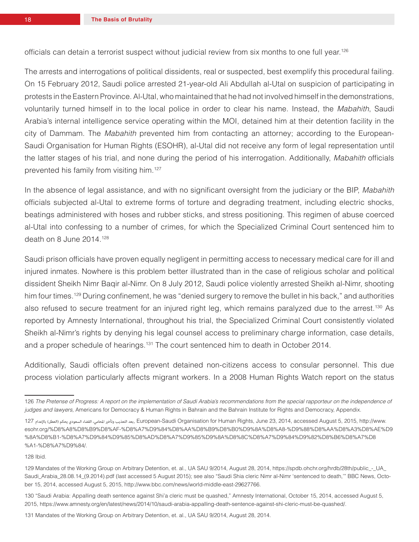officials can detain a terrorist suspect without judicial review from six months to one full year.<sup>126</sup>

The arrests and interrogations of political dissidents, real or suspected, best exemplify this procedural failing. On 15 February 2012, Saudi police arrested 21-year-old Ali Abdullah al-Utal on suspicion of participating in protests in the Eastern Province. Al-Utal, who maintained that he had not involved himself in the demonstrations, voluntarily turned himself in to the local police in order to clear his name. Instead, the *Mabahith*, Saudi Arabia's internal intelligence service operating within the MOI, detained him at their detention facility in the city of Dammam. The *Mabahith* prevented him from contacting an attorney; according to the European-Saudi Organisation for Human Rights (ESOHR), al-Utal did not receive any form of legal representation until the latter stages of his trial, and none during the period of his interrogation. Additionally, *Mabahith* officials prevented his family from visiting him.127

In the absence of legal assistance, and with no significant oversight from the judiciary or the BIP, *Mabahith* officials subjected al-Utal to extreme forms of torture and degrading treatment, including electric shocks, beatings administered with hoses and rubber sticks, and stress positioning. This regimen of abuse coerced al-Utal into confessing to a number of crimes, for which the Specialized Criminal Court sentenced him to death on 8 June 2014.128

Saudi prison officials have proven equally negligent in permitting access to necessary medical care for ill and injured inmates. Nowhere is this problem better illustrated than in the case of religious scholar and political dissident Sheikh Nimr Baqir al-Nimr. On 8 July 2012, Saudi police violently arrested Sheikh al-Nimr, shooting him four times.<sup>129</sup> During confinement, he was "denied surgery to remove the bullet in his back," and authorities also refused to secure treatment for an injured right leg, which remains paralyzed due to the arrest.<sup>130</sup> As reported by Amnesty International, throughout his trial, the Specialized Criminal Court consistently violated Sheikh al-Nimr's rights by denying his legal counsel access to preliminary charge information, case details, and a proper schedule of hearings.<sup>131</sup> The court sentenced him to death in October 2014.

Additionally, Saudi officials often prevent detained non-citizens access to consular personnel. This due process violation particularly affects migrant workers. In a 2008 Human Rights Watch report on the status

128 Ibid.

130 "Saudi Arabia: Appalling death sentence against Shi'a cleric must be quashed," Amnesty International, October 15, 2014, accessed August 5, 2015, https://www.amnesty.org/en/latest/news/2014/10/saudi-arabia-appalling-death-sentence-against-shi-cleric-must-be-quashed/.

131 Mandates of the Working Group on Arbitrary Detention, et. al., UA SAU 9/2014, August 28, 2014.

<sup>126</sup> The Pretense of Progress: A report on the implementation of Saudi Arabia's recommendations from the special rapporteur on the independence of judges and lawyers, Americans for Democracy & Human Rights in Bahrain and the Bahrain Institute for Rights and Democracy, Appendix.

<sup>127</sup> باإلعدام( العطل )يحكم السعودي القضاء ،املحامي وتأخري التعذيب بعد, European-Saudi Organisation for Human Rights, June 23, 2014, accessed August 5, 2015, http://www. esohr.org/%D8%A8%D8%B9%D8%AF-%D8%A7%D9%84%D8%AA%D8%B9%D8%B0%D9%8A%D8%A8-%D9%88%D8%AA%D8%A3%D8%AE%D9 %8A%D8%B1-%D8%A7%D9%84%D9%85%D8%AD%D8%A7%D9%85%D9%8A%D8%8C%D8%A7%D9%84%D9%82%D8%B6%D8%A7%D8 %A1-%D8%A7%D9%84/.

<sup>129</sup> Mandates of the Working Group on Arbitrary Detention, et. al., UA SAU 9/2014, August 28, 2014, https://spdb.ohchr.org/hrdb/28th/public\_-\_UA\_ Saudi\_Arabia\_28.08.14\_(9.2014).pdf (last accessed 5 August 2015); see also "Saudi Shia cleric Nimr al-Nimr 'sentenced to death,'" BBC News, October 15, 2014, accessed August 5, 2015, http://www.bbc.com/news/world-middle-east-29627766.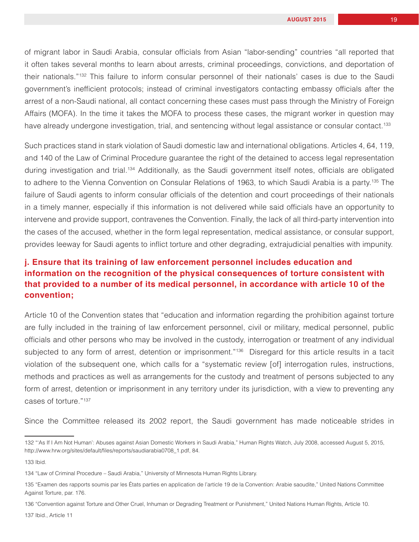of migrant labor in Saudi Arabia, consular officials from Asian "labor-sending" countries "all reported that it often takes several months to learn about arrests, criminal proceedings, convictions, and deportation of their nationals."132 This failure to inform consular personnel of their nationals' cases is due to the Saudi government's inefficient protocols; instead of criminal investigators contacting embassy officials after the arrest of a non-Saudi national, all contact concerning these cases must pass through the Ministry of Foreign Affairs (MOFA). In the time it takes the MOFA to process these cases, the migrant worker in question may have already undergone investigation, trial, and sentencing without legal assistance or consular contact.<sup>133</sup>

Such practices stand in stark violation of Saudi domestic law and international obligations. Articles 4, 64, 119, and 140 of the Law of Criminal Procedure guarantee the right of the detained to access legal representation during investigation and trial.134 Additionally, as the Saudi government itself notes, officials are obligated to adhere to the Vienna Convention on Consular Relations of 1963, to which Saudi Arabia is a party.135 The failure of Saudi agents to inform consular officials of the detention and court proceedings of their nationals in a timely manner, especially if this information is not delivered while said officials have an opportunity to intervene and provide support, contravenes the Convention. Finally, the lack of all third-party intervention into the cases of the accused, whether in the form legal representation, medical assistance, or consular support, provides leeway for Saudi agents to inflict torture and other degrading, extrajudicial penalties with impunity.

#### **j. Ensure that its training of law enforcement personnel includes education and information on the recognition of the physical consequences of torture consistent with that provided to a number of its medical personnel, in accordance with article 10 of the convention;**

Article 10 of the Convention states that "education and information regarding the prohibition against torture are fully included in the training of law enforcement personnel, civil or military, medical personnel, public officials and other persons who may be involved in the custody, interrogation or treatment of any individual subjected to any form of arrest, detention or imprisonment."<sup>136</sup> Disregard for this article results in a tacit violation of the subsequent one, which calls for a "systematic review [of] interrogation rules, instructions, methods and practices as well as arrangements for the custody and treatment of persons subjected to any form of arrest, detention or imprisonment in any territory under its jurisdiction, with a view to preventing any cases of torture."<sup>137</sup>

Since the Committee released its 2002 report, the Saudi government has made noticeable strides in

<sup>132</sup> "'As If I Am Not Human': Abuses against Asian Domestic Workers in Saudi Arabia," Human Rights Watch, July 2008, accessed August 5, 2015, http://www.hrw.org/sites/default/files/reports/saudiarabia0708\_1.pdf, 84.

<sup>133</sup> Ibid.

<sup>134</sup> "Law of Criminal Procedure – Saudi Arabia," University of Minnesota Human Rights Library.

<sup>135</sup> "Examen des rapports soumis par les États parties en application de l'article 19 de la Convention: Arabie saoudite," United Nations Committee Against Torture, par. 176.

<sup>136</sup> "Convention against Torture and Other Cruel, Inhuman or Degrading Treatment or Punishment," United Nations Human Rights, Article 10.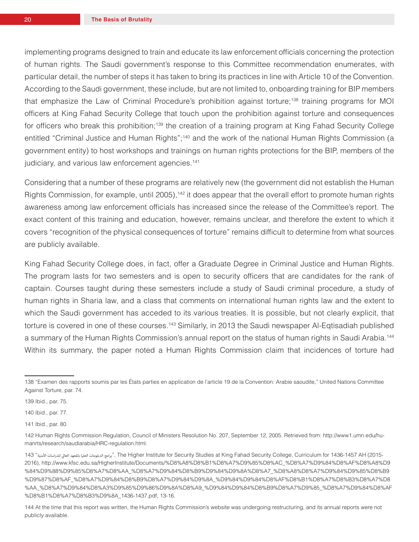implementing programs designed to train and educate its law enforcement officials concerning the protection of human rights. The Saudi government's response to this Committee recommendation enumerates, with particular detail, the number of steps it has taken to bring its practices in line with Article 10 of the Convention. According to the Saudi government, these include, but are not limited to, onboarding training for BIP members that emphasize the Law of Criminal Procedure's prohibition against torture;<sup>138</sup> training programs for MOI officers at King Fahad Security College that touch upon the prohibition against torture and consequences for officers who break this prohibition;139 the creation of a training program at King Fahad Security College entitled "Criminal Justice and Human Rights";<sup>140</sup> and the work of the national Human Rights Commission (a government entity) to host workshops and trainings on human rights protections for the BIP, members of the judiciary, and various law enforcement agencies.<sup>141</sup>

Considering that a number of these programs are relatively new (the government did not establish the Human Rights Commission, for example, until 2005),<sup>142</sup> it does appear that the overall effort to promote human rights awareness among law enforcement officials has increased since the release of the Committee's report. The exact content of this training and education, however, remains unclear, and therefore the extent to which it covers "recognition of the physical consequences of torture" remains difficult to determine from what sources are publicly available.

King Fahad Security College does, in fact, offer a Graduate Degree in Criminal Justice and Human Rights. The program lasts for two semesters and is open to security officers that are candidates for the rank of captain. Courses taught during these semesters include a study of Saudi criminal procedure, a study of human rights in Sharia law, and a class that comments on international human rights law and the extent to which the Saudi government has acceded to its various treaties. It is possible, but not clearly explicit, that torture is covered in one of these courses.143 Similarly, in 2013 the Saudi newspaper Al-Eqtisadiah published a summary of the Human Rights Commission's annual report on the status of human rights in Saudi Arabia.144 Within its summary, the paper noted a Human Rights Commission claim that incidences of torture had

144 At the time that this report was written, the Human Rights Commission's website was undergoing restructuring, and its annual reports were not publicly available.

<sup>138</sup> "Examen des rapports soumis par les États parties en application de l'article 19 de la Convention: Arabie saoudite," United Nations Committee Against Torture, par. 74.

<sup>139</sup> Ibid., par. 75.

<sup>140</sup> Ibid., par. 77.

<sup>141</sup> Ibid., par. 80.

<sup>142</sup> Human Rights Commission Regulation, Council of Ministers Resolution No. 207, September 12, 2005. Retrieved from: http://www1.umn.edu/humanrts/research/saudiarabia/HRC-regulation.html.

<sup>143 &</sup>quot;األمنية للدراسات العايل باملعهد العليا الدبلومات برامج", The Higher Institute for Security Studies at King Fahad Security College, Curriculum for 1436-1457 AH (2015- 2016), http://www.kfsc.edu.sa/HigherInstitute/Documents/%D8%A8%D8%B1%D8%A7%D9%85%D8%AC\_%D8%A7%D9%84%D8%AF%D8%A8%D9 %84%D9%88%D9%85%D8%A7%D8%AA\_%D8%A7%D9%84%D8%B9%D9%84%D9%8A%D8%A7\_%D8%A8%D8%A7%D9%84%D9%85%D8%B9 %D9%87%D8%AF\_%D8%A7%D9%84%D8%B9%D8%A7%D9%84%D9%8A\_%D9%84%D9%84%D8%AF%D8%B1%D8%A7%D8%B3%D8%A7%D8 %AA\_%D8%A7%D9%84%D8%A3%D9%85%D9%86%D9%8A%D8%A9\_%D9%84%D9%84%D8%B9%D8%A7%D9%85\_%D8%A7%D9%84%D8%AF %D8%B1%D8%A7%D8%B3%D9%8A\_1436-1437.pdf, 13-16.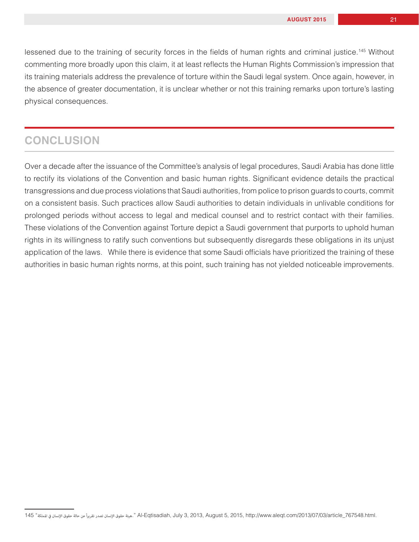lessened due to the training of security forces in the fields of human rights and criminal justice.<sup>145</sup> Without commenting more broadly upon this claim, it at least reflects the Human Rights Commission's impression that its training materials address the prevalence of torture within the Saudi legal system. Once again, however, in the absence of greater documentation, it is unclear whether or not this training remarks upon torture's lasting physical consequences.

# **CONCLUSION**

Over a decade after the issuance of the Committee's analysis of legal procedures, Saudi Arabia has done little to rectify its violations of the Convention and basic human rights. Significant evidence details the practical transgressions and due process violations that Saudi authorities, from police to prison guards to courts, commit on a consistent basis. Such practices allow Saudi authorities to detain individuals in unlivable conditions for prolonged periods without access to legal and medical counsel and to restrict contact with their families. These violations of the Convention against Torture depict a Saudi government that purports to uphold human rights in its willingness to ratify such conventions but subsequently disregards these obligations in its unjust application of the laws. While there is evidence that some Saudi officials have prioritized the training of these authorities in basic human rights norms, at this point, such training has not yielded noticeable improvements.

<sup>.</sup>a.http://www.aleqt.com/2013/07/03/article\_767548.html "Al-Eqtisadiah, July 3, 2013, August 5, 2015, http://www.aleqt.com/2013/07/03/article\_767548.html ".هيئة حقوق الإنسان تصدر تقريراً عن حالة حقوق الإنسان ف المملكة" 145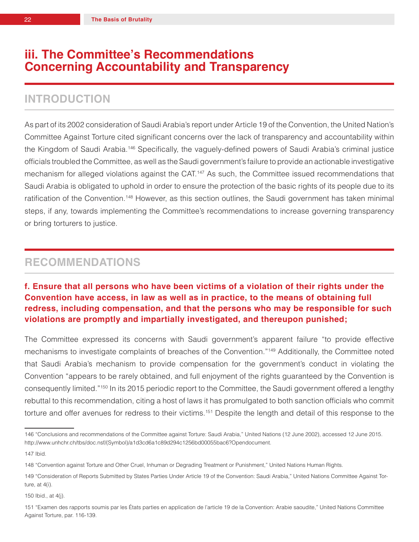# **iii. The Committee's Recommendations Concerning Accountability and Transparency**

## **INTRODUCTION**

As part of its 2002 consideration of Saudi Arabia's report under Article 19 of the Convention, the United Nation's Committee Against Torture cited significant concerns over the lack of transparency and accountability within the Kingdom of Saudi Arabia.<sup>146</sup> Specifically, the vaguely-defined powers of Saudi Arabia's criminal justice officials troubled the Committee, as well as the Saudi government's failure to provide an actionable investigative mechanism for alleged violations against the CAT.<sup>147</sup> As such, the Committee issued recommendations that Saudi Arabia is obligated to uphold in order to ensure the protection of the basic rights of its people due to its ratification of the Convention.<sup>148</sup> However, as this section outlines, the Saudi government has taken minimal steps, if any, towards implementing the Committee's recommendations to increase governing transparency or bring torturers to justice.

#### **RECOMMENDATIONS**

#### **f. Ensure that all persons who have been victims of a violation of their rights under the Convention have access, in law as well as in practice, to the means of obtaining full redress, including compensation, and that the persons who may be responsible for such violations are promptly and impartially investigated, and thereupon punished;**

The Committee expressed its concerns with Saudi government's apparent failure "to provide effective mechanisms to investigate complaints of breaches of the Convention."149 Additionally, the Committee noted that Saudi Arabia's mechanism to provide compensation for the government's conduct in violating the Convention "appears to be rarely obtained, and full enjoyment of the rights guaranteed by the Convention is consequently limited."150 In its 2015 periodic report to the Committee, the Saudi government offered a lengthy rebuttal to this recommendation, citing a host of laws it has promulgated to both sanction officials who commit torture and offer avenues for redress to their victims.<sup>151</sup> Despite the length and detail of this response to the

147 Ibid.

150 Ibid., at 4(j).

151 "Examen des rapports soumis par les États parties en application de l'article 19 de la Convention: Arabie saoudite," United Nations Committee Against Torture, par. 116-139.

<sup>146</sup> "Conclusions and recommendations of the Committee against Torture: Saudi Arabia," United Nations (12 June 2002), accessed 12 June 2015. http://www.unhchr.ch/tbs/doc.nsf/(Symbol)/a1d3cd6a1c89d294c1256bd00055bac6?Opendocument.

<sup>148</sup> "Convention against Torture and Other Cruel, Inhuman or Degrading Treatment or Punishment," United Nations Human Rights.

<sup>149</sup> "Consideration of Reports Submitted by States Parties Under Article 19 of the Convention: Saudi Arabia," United Nations Committee Against Torture, at 4(i).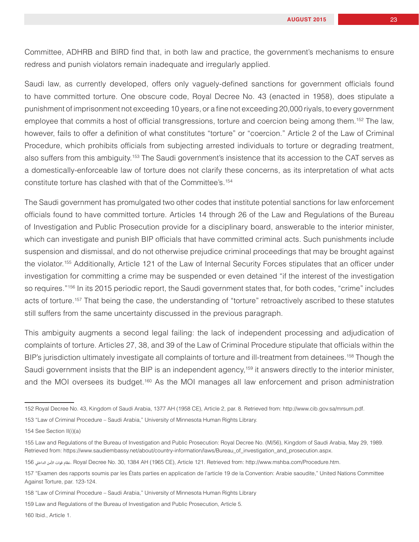Committee, ADHRB and BIRD find that, in both law and practice, the government's mechanisms to ensure redress and punish violators remain inadequate and irregularly applied.

Saudi law, as currently developed, offers only vaguely-defined sanctions for government officials found to have committed torture. One obscure code, Royal Decree No. 43 (enacted in 1958), does stipulate a punishment of imprisonment not exceeding 10 years, or a fine not exceeding 20,000 riyals, to every government employee that commits a host of official transgressions, torture and coercion being among them.<sup>152</sup> The law, however, fails to offer a definition of what constitutes "torture" or "coercion." Article 2 of the Law of Criminal Procedure, which prohibits officials from subjecting arrested individuals to torture or degrading treatment, also suffers from this ambiguity.<sup>153</sup> The Saudi government's insistence that its accession to the CAT serves as a domestically-enforceable law of torture does not clarify these concerns, as its interpretation of what acts constitute torture has clashed with that of the Committee's.154

The Saudi government has promulgated two other codes that institute potential sanctions for law enforcement officials found to have committed torture. Articles 14 through 26 of the Law and Regulations of the Bureau of Investigation and Public Prosecution provide for a disciplinary board, answerable to the interior minister, which can investigate and punish BIP officials that have committed criminal acts. Such punishments include suspension and dismissal, and do not otherwise prejudice criminal proceedings that may be brought against the violator.155 Additionally, Article 121 of the Law of Internal Security Forces stipulates that an officer under investigation for committing a crime may be suspended or even detained "if the interest of the investigation so requires."<sup>156</sup> In its 2015 periodic report, the Saudi government states that, for both codes, "crime" includes acts of torture.<sup>157</sup> That being the case, the understanding of "torture" retroactively ascribed to these statutes still suffers from the same uncertainty discussed in the previous paragraph.

This ambiguity augments a second legal failing: the lack of independent processing and adjudication of complaints of torture. Articles 27, 38, and 39 of the Law of Criminal Procedure stipulate that officials within the BIP's jurisdiction ultimately investigate all complaints of torture and ill-treatment from detainees.<sup>158</sup> Though the Saudi government insists that the BIP is an independent agency,<sup>159</sup> it answers directly to the interior minister, and the MOI oversees its budget.160 As the MOI manages all law enforcement and prison administration

153 "Law of Criminal Procedure – Saudi Arabia," University of Minnesota Human Rights Library.

159 Law and Regulations of the Bureau of Investigation and Public Prosecution, Article 5.

160 Ibid., Article 1.

<sup>152</sup> Royal Decree No. 43, Kingdom of Saudi Arabia, 1377 AH (1958 CE), Article 2, par. 8. Retrieved from: http://www.cib.gov.sa/mrsum.pdf.

<sup>154</sup> See Section II(i)(a)

<sup>155</sup> Law and Regulations of the Bureau of Investigation and Public Prosecution: Royal Decree No. (M/56), Kingdom of Saudi Arabia, May 29, 1989. Retrieved from: https://www.saudiembassy.net/about/country-information/laws/Bureau\_of\_investigation\_and\_prosecution.aspx.

<sup>156</sup> الداخيل األمن قوات نظام. Royal Decree No. 30, 1384 AH (1965 CE), Article 121. Retrieved from: http://www.mshba.com/Procedure.htm.

<sup>157</sup> "Examen des rapports soumis par les États parties en application de l'article 19 de la Convention: Arabie saoudite," United Nations Committee Against Torture, par. 123-124.

<sup>158</sup> "Law of Criminal Procedure – Saudi Arabia," University of Minnesota Human Rights Library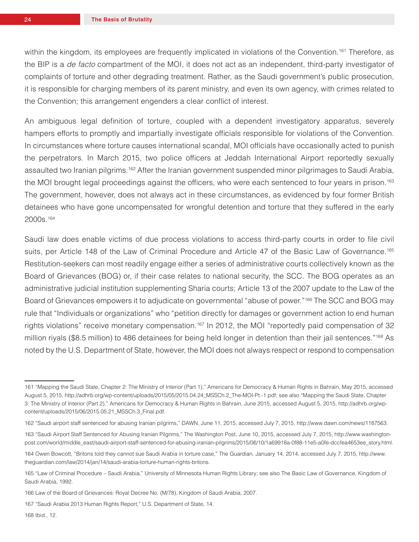within the kingdom, its employees are frequently implicated in violations of the Convention.<sup>161</sup> Therefore, as the BIP is a de *facto* compartment of the MOI, it does not act as an independent, third-party investigator of complaints of torture and other degrading treatment. Rather, as the Saudi government's public prosecution, it is responsible for charging members of its parent ministry, and even its own agency, with crimes related to the Convention; this arrangement engenders a clear conflict of interest.

An ambiguous legal definition of torture, coupled with a dependent investigatory apparatus, severely hampers efforts to promptly and impartially investigate officials responsible for violations of the Convention. In circumstances where torture causes international scandal, MOI officials have occasionally acted to punish the perpetrators. In March 2015, two police officers at Jeddah International Airport reportedly sexually assaulted two Iranian pilgrims.162 After the Iranian government suspended minor pilgrimages to Saudi Arabia, the MOI brought legal proceedings against the officers, who were each sentenced to four years in prison.<sup>163</sup> The government, however, does not always act in these circumstances, as evidenced by four former British detainees who have gone uncompensated for wrongful detention and torture that they suffered in the early 2000s.164

Saudi law does enable victims of due process violations to access third-party courts in order to file civil suits, per Article 148 of the Law of Criminal Procedure and Article 47 of the Basic Law of Governance.<sup>165</sup> Restitution-seekers can most readily engage either a series of administrative courts collectively known as the Board of Grievances (BOG) or, if their case relates to national security, the SCC. The BOG operates as an administrative judicial institution supplementing Sharia courts; Article 13 of the 2007 update to the Law of the Board of Grievances empowers it to adjudicate on governmental "abuse of power."<sup>166</sup> The SCC and BOG may rule that "Individuals or organizations" who "petition directly for damages or government action to end human rights violations" receive monetary compensation.<sup>167</sup> In 2012, the MOI "reportedly paid compensation of 32 million riyals (\$8.5 million) to 486 detainees for being held longer in detention than their jail sentences."<sup>168</sup> As noted by the U.S. Department of State, however, the MOI does not always respect or respond to compensation

<sup>161</sup> "Mapping the Saudi State, Chapter 2: The Ministry of Interior (Part 1)," Americans for Democracy & Human Rights in Bahrain, May 2015, accessed August 5, 2015, http://adhrb.org/wp-content/uploads/2015/05/2015.04.24\_MSSCh.2\_The-MOI-Pt.-1.pdf; see also "Mapping the Saudi State, Chapter 3: The Ministry of Interior (Part 2)," Americans for Democracy & Human Rights in Bahrain, June 2015, accessed August 5, 2015, http://adhrb.org/wpcontent/uploads/2015/06/2015.05.21\_MSSCh.3\_Final.pdf.

<sup>162</sup> "Saudi airport staff sentenced for abusing Iranian pilgrims," DAWN, June 11, 2015, accessed July 7, 2015, http://www.dawn.com/news/1187563.

<sup>163</sup> "Saudi Airport Staff Sentenced for Abusing Iranian Pilgrims," The Washington Post, June 10, 2015, accessed July 7, 2015, http://www.washingtonpost.com/world/middle\_east/saudi-airport-staff-sentenced-for-abusing-iranian-pilgrims/2015/06/10/1a69918a-0f88-11e5-a0fe-dccfea4653ee\_story.html.

<sup>164</sup> Owen Bowcott, "Britons told they cannot sue Saudi Arabia in torture case," The Guardian, January 14, 2014, accessed July 7, 2015, http://www. theguardian.com/law/2014/jan/14/saudi-arabia-torture-human-rights-britons.

<sup>165</sup> "Law of Criminal Procedure – Saudi Arabia," University of Minnesota Human Rights Library; see also The Basic Law of Governance, Kingdom of Saudi Arabia, 1992.

<sup>166</sup> Law of the Board of Grievances: Royal Decree No. (M/78), Kingdom of Saudi Arabia, 2007.

<sup>167</sup> "Saudi Arabia 2013 Human Rights Report," U.S. Department of State, 14.

<sup>168</sup> Ibid., 12.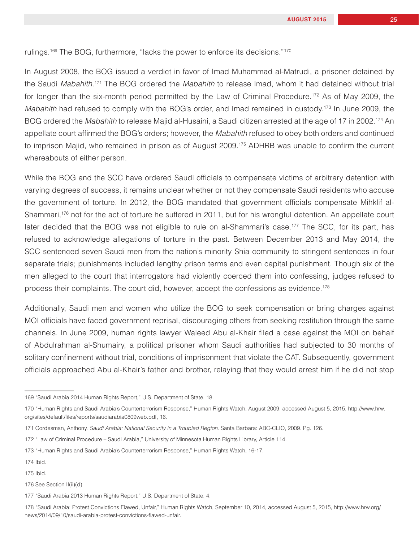rulings.169 The BOG, furthermore, "lacks the power to enforce its decisions."<sup>170</sup>

In August 2008, the BOG issued a verdict in favor of Imad Muhammad al-Matrudi, a prisoner detained by the Saudi *Mabahith*. <sup>171</sup> The BOG ordered the *Mabahith* to release Imad, whom it had detained without trial for longer than the six-month period permitted by the Law of Criminal Procedure.<sup>172</sup> As of May 2009, the *Mabahith* had refused to comply with the BOG's order, and Imad remained in custody.173 In June 2009, the BOG ordered the *Mabahith* to release Majid al-Husaini, a Saudi citizen arrested at the age of 17 in 2002.174 An appellate court affirmed the BOG's orders; however, the *Mabahith* refused to obey both orders and continued to imprison Majid, who remained in prison as of August 2009.175 ADHRB was unable to confirm the current whereabouts of either person.

While the BOG and the SCC have ordered Saudi officials to compensate victims of arbitrary detention with varying degrees of success, it remains unclear whether or not they compensate Saudi residents who accuse the government of torture. In 2012, the BOG mandated that government officials compensate Mihklif al-Shammari,<sup>176</sup> not for the act of torture he suffered in 2011, but for his wrongful detention. An appellate court later decided that the BOG was not eligible to rule on al-Shammari's case.<sup>177</sup> The SCC, for its part, has refused to acknowledge allegations of torture in the past. Between December 2013 and May 2014, the SCC sentenced seven Saudi men from the nation's minority Shia community to stringent sentences in four separate trials; punishments included lengthy prison terms and even capital punishment. Though six of the men alleged to the court that interrogators had violently coerced them into confessing, judges refused to process their complaints. The court did, however, accept the confessions as evidence.178

Additionally, Saudi men and women who utilize the BOG to seek compensation or bring charges against MOI officials have faced government reprisal, discouraging others from seeking restitution through the same channels. In June 2009, human rights lawyer Waleed Abu al-Khair filed a case against the MOI on behalf of Abdulrahman al-Shumairy, a political prisoner whom Saudi authorities had subjected to 30 months of solitary confinement without trial, conditions of imprisonment that violate the CAT. Subsequently, government officials approached Abu al-Khair's father and brother, relaying that they would arrest him if he did not stop

<sup>169</sup> "Saudi Arabia 2014 Human Rights Report," U.S. Department of State, 18.

<sup>170</sup> "Human Rights and Saudi Arabia's Counterterrorism Response," Human Rights Watch, August 2009, accessed August 5, 2015, http://www.hrw. org/sites/default/files/reports/saudiarabia0809web.pdf, 16.

<sup>171</sup> Cordesman, Anthony. Saudi Arabia: National Security in a Troubled Region. Santa Barbara: ABC-CLIO, 2009. Pg. 126.

<sup>172</sup> "Law of Criminal Procedure – Saudi Arabia," University of Minnesota Human Rights Library, Article 114.

<sup>173</sup> "Human Rights and Saudi Arabia's Counterterrorism Response," Human Rights Watch, 16-17.

<sup>174</sup> Ibid.

<sup>175</sup> Ibid.

<sup>176</sup> See Section II(ii)(d)

<sup>177</sup> "Saudi Arabia 2013 Human Rights Report," U.S. Department of State, 4.

<sup>178</sup> "Saudi Arabia: Protest Convictions Flawed, Unfair," Human Rights Watch, September 10, 2014, accessed August 5, 2015, http://www.hrw.org/ news/2014/09/10/saudi-arabia-protest-convictions-flawed-unfair.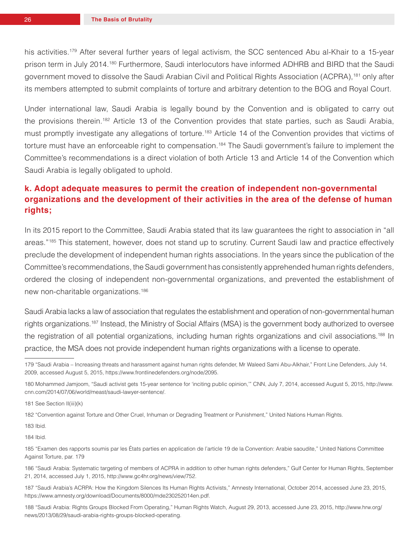his activities.<sup>179</sup> After several further years of legal activism, the SCC sentenced Abu al-Khair to a 15-year prison term in July 2014.180 Furthermore, Saudi interlocutors have informed ADHRB and BIRD that the Saudi government moved to dissolve the Saudi Arabian Civil and Political Rights Association (ACPRA),181 only after its members attempted to submit complaints of torture and arbitrary detention to the BOG and Royal Court.

Under international law, Saudi Arabia is legally bound by the Convention and is obligated to carry out the provisions therein.182 Article 13 of the Convention provides that state parties, such as Saudi Arabia, must promptly investigate any allegations of torture.<sup>183</sup> Article 14 of the Convention provides that victims of torture must have an enforceable right to compensation.<sup>184</sup> The Saudi government's failure to implement the Committee's recommendations is a direct violation of both Article 13 and Article 14 of the Convention which Saudi Arabia is legally obligated to uphold.

#### **k. Adopt adequate measures to permit the creation of independent non-governmental organizations and the development of their activities in the area of the defense of human rights;**

In its 2015 report to the Committee, Saudi Arabia stated that its law guarantees the right to association in "all areas."185 This statement, however, does not stand up to scrutiny. Current Saudi law and practice effectively preclude the development of independent human rights associations. In the years since the publication of the Committee's recommendations, the Saudi government has consistently apprehended human rights defenders, ordered the closing of independent non-governmental organizations, and prevented the establishment of new non-charitable organizations.<sup>186</sup>

Saudi Arabia lacks a law of association that regulates the establishment and operation of non-governmental human rights organizations.<sup>187</sup> Instead, the Ministry of Social Affairs (MSA) is the government body authorized to oversee the registration of all potential organizations, including human rights organizations and civil associations.<sup>188</sup> In practice, the MSA does not provide independent human rights organizations with a license to operate.

182 "Convention against Torture and Other Cruel, Inhuman or Degrading Treatment or Punishment," United Nations Human Rights.

183 Ibid.

184 Ibid.

<sup>179</sup> "Saudi Arabia – Increasing threats and harassment against human rights defender, Mr Waleed Sami Abu-Alkhair," Front Line Defenders, July 14, 2009, accessed August 5, 2015, https://www.frontlinedefenders.org/node/2095.

<sup>180</sup> Mohammed Jamjoom, "Saudi activist gets 15-year sentence for 'inciting public opinion,'" CNN, July 7, 2014, accessed August 5, 2015, http://www. cnn.com/2014/07/06/world/meast/saudi-lawyer-sentence/.

<sup>181</sup> See Section II(iii)(k)

<sup>185</sup> "Examen des rapports soumis par les États parties en application de l'article 19 de la Convention: Arabie saoudite," United Nations Committee Against Torture, par. 179

<sup>186</sup> "Saudi Arabia: Systematic targeting of members of ACPRA in addition to other human rights defenders," Gulf Center for Human Rights, September 21, 2014, accessed July 1, 2015, http://www.gc4hr.org/news/view/752.

<sup>187</sup> "Saudi Arabia's ACRPA: How the Kingdom Silences Its Human Rights Activists," Amnesty International, October 2014, accessed June 23, 2015, https://www.amnesty.org/download/Documents/8000/mde230252014en.pdf.

<sup>188</sup> "Saudi Arabia: Rights Groups Blocked From Operating," Human Rights Watch, August 29, 2013, accessed June 23, 2015, http://www.hrw.org/ news/2013/08/29/saudi-arabia-rights-groups-blocked-operating.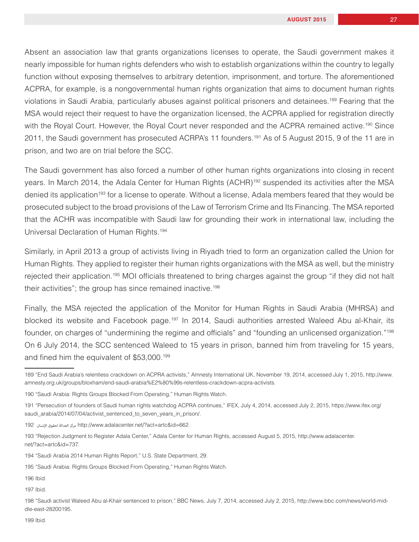Absent an association law that grants organizations licenses to operate, the Saudi government makes it nearly impossible for human rights defenders who wish to establish organizations within the country to legally function without exposing themselves to arbitrary detention, imprisonment, and torture. The aforementioned ACPRA, for example, is a nongovernmental human rights organization that aims to document human rights violations in Saudi Arabia, particularly abuses against political prisoners and detainees.189 Fearing that the MSA would reject their request to have the organization licensed, the ACPRA applied for registration directly with the Royal Court. However, the Royal Court never responded and the ACPRA remained active.<sup>190</sup> Since 2011, the Saudi government has prosecuted ACRPA's 11 founders.<sup>191</sup> As of 5 August 2015, 9 of the 11 are in prison, and two are on trial before the SCC.

The Saudi government has also forced a number of other human rights organizations into closing in recent years. In March 2014, the Adala Center for Human Rights (ACHR)<sup>192</sup> suspended its activities after the MSA denied its application<sup>193</sup> for a license to operate. Without a license, Adala members feared that they would be prosecuted subject to the broad provisions of the Law of Terrorism Crime and Its Financing. The MSA reported that the ACHR was incompatible with Saudi law for grounding their work in international law, including the Universal Declaration of Human Rights.194

Similarly, in April 2013 a group of activists living in Riyadh tried to form an organization called the Union for Human Rights. They applied to register their human rights organizations with the MSA as well, but the ministry rejected their application.195 MOI officials threatened to bring charges against the group "if they did not halt their activities"; the group has since remained inactive.<sup>196</sup>

Finally, the MSA rejected the application of the Monitor for Human Rights in Saudi Arabia (MHRSA) and blocked its website and Facebook page.197 In 2014, Saudi authorities arrested Waleed Abu al-Khair, its founder, on charges of "undermining the regime and officials" and "founding an unlicensed organization."<sup>198</sup> On 6 July 2014, the SCC sentenced Waleed to 15 years in prison, banned him from traveling for 15 years, and fined him the equivalent of \$53,000.<sup>199</sup>

197 Ibid.

<sup>189</sup> "End Saudi Arabia's relentless crackdown on ACPRA activists," Amnesty International UK, November 19, 2014, accessed July 1, 2015, http://www. amnesty.org.uk/groups/bloxham/end-saudi-arabia%E2%80%99s-relentless-crackdown-acpra-activists.

<sup>190</sup> "Saudi Arabia: Rights Groups Blocked From Operating," Human Rights Watch.

<sup>191</sup> "Persecution of founders of Saudi human rights watchdog ACPRA continues," IFEX, July 4, 2014, accessed July 2, 2015, https://www.ifex.org/ saudi\_arabia/2014/07/04/activist\_sentenced\_to\_seven\_years\_in\_prison/.

<sup>192</sup> اإلنسان لحقوق العدالة مركز http://www.adalacenter.net/?act=artc&id=662.

<sup>193</sup> "Rejection Judgment to Register Adala Center," Adala Center for Human Rights, accessed August 5, 2015, http://www.adalacenter. net/?act=artc&id=737.

<sup>194</sup> "Saudi Arabia 2014 Human Rights Report," U.S. State Department, 29.

<sup>195</sup> "Saudi Arabia: Rights Groups Blocked From Operating," Human Rights Watch.

<sup>196</sup> Ibid.

<sup>198</sup> "Saudi activist Waleed Abu al-Khair sentenced to prison," BBC News, July 7, 2014, accessed July 2, 2015, http://www.bbc.com/news/world-middle-east-28200195.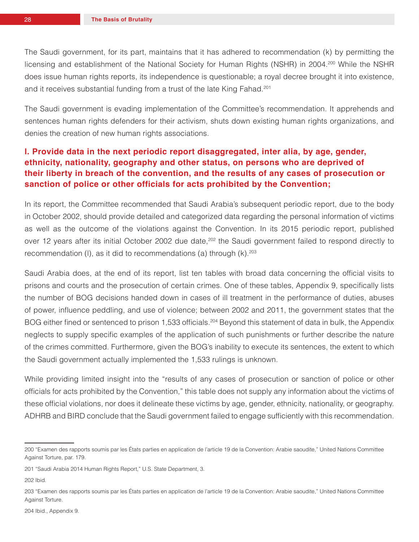The Saudi government, for its part, maintains that it has adhered to recommendation (k) by permitting the licensing and establishment of the National Society for Human Rights (NSHR) in 2004.200 While the NSHR does issue human rights reports, its independence is questionable; a royal decree brought it into existence, and it receives substantial funding from a trust of the late King Fahad.<sup>201</sup>

The Saudi government is evading implementation of the Committee's recommendation. It apprehends and sentences human rights defenders for their activism, shuts down existing human rights organizations, and denies the creation of new human rights associations.

#### **l. Provide data in the next periodic report disaggregated, inter alia, by age, gender, ethnicity, nationality, geography and other status, on persons who are deprived of their liberty in breach of the convention, and the results of any cases of prosecution or sanction of police or other officials for acts prohibited by the Convention;**

In its report, the Committee recommended that Saudi Arabia's subsequent periodic report, due to the body in October 2002, should provide detailed and categorized data regarding the personal information of victims as well as the outcome of the violations against the Convention. In its 2015 periodic report, published over 12 years after its initial October 2002 due date,<sup>202</sup> the Saudi government failed to respond directly to recommendation (l), as it did to recommendations (a) through (k).203

Saudi Arabia does, at the end of its report, list ten tables with broad data concerning the official visits to prisons and courts and the prosecution of certain crimes. One of these tables, Appendix 9, specifically lists the number of BOG decisions handed down in cases of ill treatment in the performance of duties, abuses of power, influence peddling, and use of violence; between 2002 and 2011, the government states that the BOG either fined or sentenced to prison 1,533 officials.<sup>204</sup> Beyond this statement of data in bulk, the Appendix neglects to supply specific examples of the application of such punishments or further describe the nature of the crimes committed. Furthermore, given the BOG's inability to execute its sentences, the extent to which the Saudi government actually implemented the 1,533 rulings is unknown.

While providing limited insight into the "results of any cases of prosecution or sanction of police or other officials for acts prohibited by the Convention," this table does not supply any information about the victims of these official violations, nor does it delineate these victims by age, gender, ethnicity, nationality, or geography. ADHRB and BIRD conclude that the Saudi government failed to engage sufficiently with this recommendation.

<sup>200</sup> "Examen des rapports soumis par les États parties en application de l'article 19 de la Convention: Arabie saoudite," United Nations Committee Against Torture, par. 179.

<sup>201</sup> "Saudi Arabia 2014 Human Rights Report," U.S. State Department, 3.

<sup>202</sup> Ibid.

<sup>203</sup> "Examen des rapports soumis par les États parties en application de l'article 19 de la Convention: Arabie saoudite," United Nations Committee Against Torture.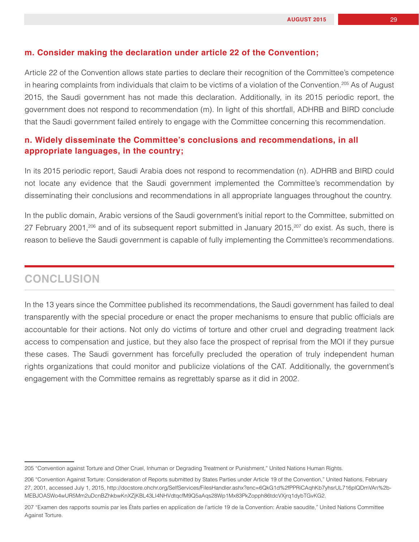#### **m. Consider making the declaration under article 22 of the Convention;**

Article 22 of the Convention allows state parties to declare their recognition of the Committee's competence in hearing complaints from individuals that claim to be victims of a violation of the Convention.205 As of August 2015, the Saudi government has not made this declaration. Additionally, in its 2015 periodic report, the government does not respond to recommendation (m). In light of this shortfall, ADHRB and BIRD conclude that the Saudi government failed entirely to engage with the Committee concerning this recommendation.

#### **n. Widely disseminate the Committee's conclusions and recommendations, in all appropriate languages, in the country;**

In its 2015 periodic report, Saudi Arabia does not respond to recommendation (n). ADHRB and BIRD could not locate any evidence that the Saudi government implemented the Committee's recommendation by disseminating their conclusions and recommendations in all appropriate languages throughout the country.

In the public domain, Arabic versions of the Saudi government's initial report to the Committee, submitted on 27 February 2001,<sup>206</sup> and of its subsequent report submitted in January 2015,<sup>207</sup> do exist. As such, there is reason to believe the Saudi government is capable of fully implementing the Committee's recommendations.

# **CONCLUSION**

In the 13 years since the Committee published its recommendations, the Saudi government has failed to deal transparently with the special procedure or enact the proper mechanisms to ensure that public officials are accountable for their actions. Not only do victims of torture and other cruel and degrading treatment lack access to compensation and justice, but they also face the prospect of reprisal from the MOI if they pursue these cases. The Saudi government has forcefully precluded the operation of truly independent human rights organizations that could monitor and publicize violations of the CAT. Additionally, the government's engagement with the Committee remains as regrettably sparse as it did in 2002.

<sup>205</sup> "Convention against Torture and Other Cruel, Inhuman or Degrading Treatment or Punishment," United Nations Human Rights.

<sup>206</sup> "Convention Against Torture: Consideration of Reports submitted by States Parties under Article 19 of the Convention," United Nations, February 27, 2001, accessed July 1, 2015, http://docstore.ohchr.org/SelfServices/FilesHandler.ashx?enc=6QkG1d%2fPPRiCAqhKb7yhsrUL716plQDmVAn%2b-MEBJOASWo4wUR5Mm2uDcnBZhkbwKnXZjKBL43LI4NHVdtqcfM9Q5aAqs28Wp1Mx83PkZopph86tdcVXjrq1dybTGvKG2.

<sup>207</sup> "Examen des rapports soumis par les États parties en application de l'article 19 de la Convention: Arabie saoudite," United Nations Committee Against Torture.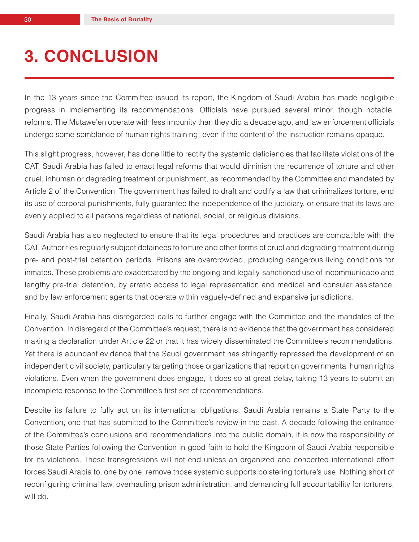# **3. CONCLUSION**

In the 13 years since the Committee issued its report, the Kingdom of Saudi Arabia has made negligible progress in implementing its recommendations. Officials have pursued several minor, though notable, reforms. The Mutawe'en operate with less impunity than they did a decade ago, and law enforcement officials undergo some semblance of human rights training, even if the content of the instruction remains opaque.

This slight progress, however, has done little to rectify the systemic deficiencies that facilitate violations of the CAT. Saudi Arabia has failed to enact legal reforms that would diminish the recurrence of torture and other cruel, inhuman or degrading treatment or punishment, as recommended by the Committee and mandated by Article 2 of the Convention. The government has failed to draft and codify a law that criminalizes torture, end its use of corporal punishments, fully guarantee the independence of the judiciary, or ensure that its laws are evenly applied to all persons regardless of national, social, or religious divisions.

Saudi Arabia has also neglected to ensure that its legal procedures and practices are compatible with the CAT. Authorities regularly subject detainees to torture and other forms of cruel and degrading treatment during pre- and post-trial detention periods. Prisons are overcrowded, producing dangerous living conditions for inmates. These problems are exacerbated by the ongoing and legally-sanctioned use of incommunicado and lengthy pre-trial detention, by erratic access to legal representation and medical and consular assistance, and by law enforcement agents that operate within vaguely-defined and expansive jurisdictions.

Finally, Saudi Arabia has disregarded calls to further engage with the Committee and the mandates of the Convention. In disregard of the Committee's request, there is no evidence that the government has considered making a declaration under Article 22 or that it has widely disseminated the Committee's recommendations. Yet there is abundant evidence that the Saudi government has stringently repressed the development of an independent civil society, particularly targeting those organizations that report on governmental human rights violations. Even when the government does engage, it does so at great delay, taking 13 years to submit an incomplete response to the Committee's first set of recommendations.

Despite its failure to fully act on its international obligations, Saudi Arabia remains a State Party to the Convention, one that has submitted to the Committee's review in the past. A decade following the entrance of the Committee's conclusions and recommendations into the public domain, it is now the responsibility of those State Parties following the Convention in good faith to hold the Kingdom of Saudi Arabia responsible for its violations. These transgressions will not end unless an organized and concerted international effort forces Saudi Arabia to, one by one, remove those systemic supports bolstering torture's use. Nothing short of reconfiguring criminal law, overhauling prison administration, and demanding full accountability for torturers, will do.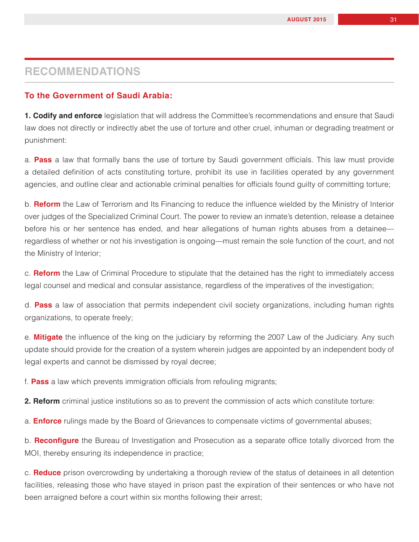### **RECOMMENDATIONS**

#### **To the Government of Saudi Arabia:**

**1. Codify and enforce** legislation that will address the Committee's recommendations and ensure that Saudi law does not directly or indirectly abet the use of torture and other cruel, inhuman or degrading treatment or punishment:

a. **Pass** a law that formally bans the use of torture by Saudi government officials. This law must provide a detailed definition of acts constituting torture, prohibit its use in facilities operated by any government agencies, and outline clear and actionable criminal penalties for officials found guilty of committing torture;

b. **Reform** the Law of Terrorism and Its Financing to reduce the influence wielded by the Ministry of Interior over judges of the Specialized Criminal Court. The power to review an inmate's detention, release a detainee before his or her sentence has ended, and hear allegations of human rights abuses from a detainee regardless of whether or not his investigation is ongoing—must remain the sole function of the court, and not the Ministry of Interior;

c. **Reform** the Law of Criminal Procedure to stipulate that the detained has the right to immediately access legal counsel and medical and consular assistance, regardless of the imperatives of the investigation;

d. **Pass** a law of association that permits independent civil society organizations, including human rights organizations, to operate freely;

e. **Mitigate** the influence of the king on the judiciary by reforming the 2007 Law of the Judiciary. Any such update should provide for the creation of a system wherein judges are appointed by an independent body of legal experts and cannot be dismissed by royal decree;

f. **Pass** a law which prevents immigration officials from refouling migrants;

**2. Reform** criminal justice institutions so as to prevent the commission of acts which constitute torture:

a. **Enforce** rulings made by the Board of Grievances to compensate victims of governmental abuses;

b. **Reconfigure** the Bureau of Investigation and Prosecution as a separate office totally divorced from the MOI, thereby ensuring its independence in practice;

c. **Reduce** prison overcrowding by undertaking a thorough review of the status of detainees in all detention facilities, releasing those who have stayed in prison past the expiration of their sentences or who have not been arraigned before a court within six months following their arrest;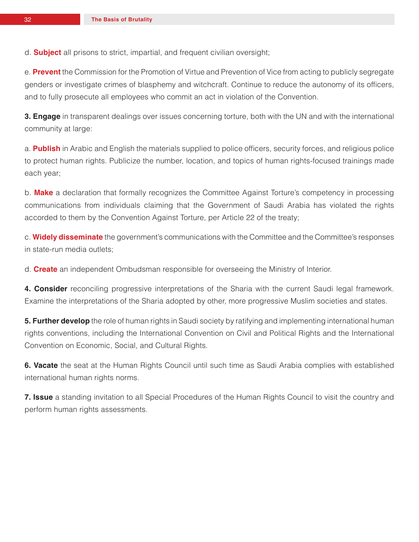d. **Subject** all prisons to strict, impartial, and frequent civilian oversight;

e. **Prevent** the Commission for the Promotion of Virtue and Prevention of Vice from acting to publicly segregate genders or investigate crimes of blasphemy and witchcraft. Continue to reduce the autonomy of its officers, and to fully prosecute all employees who commit an act in violation of the Convention.

**3. Engage** in transparent dealings over issues concerning torture, both with the UN and with the international community at large:

a. **Publish** in Arabic and English the materials supplied to police officers, security forces, and religious police to protect human rights. Publicize the number, location, and topics of human rights-focused trainings made each year;

b. **Make** a declaration that formally recognizes the Committee Against Torture's competency in processing communications from individuals claiming that the Government of Saudi Arabia has violated the rights accorded to them by the Convention Against Torture, per Article 22 of the treaty;

c. **Widely disseminate** the government's communications with the Committee and the Committee's responses in state-run media outlets;

d. **Create** an independent Ombudsman responsible for overseeing the Ministry of Interior.

**4. Consider** reconciling progressive interpretations of the Sharia with the current Saudi legal framework. Examine the interpretations of the Sharia adopted by other, more progressive Muslim societies and states.

**5. Further develop** the role of human rights in Saudi society by ratifying and implementing international human rights conventions, including the International Convention on Civil and Political Rights and the International Convention on Economic, Social, and Cultural Rights.

**6. Vacate** the seat at the Human Rights Council until such time as Saudi Arabia complies with established international human rights norms.

**7. Issue** a standing invitation to all Special Procedures of the Human Rights Council to visit the country and perform human rights assessments.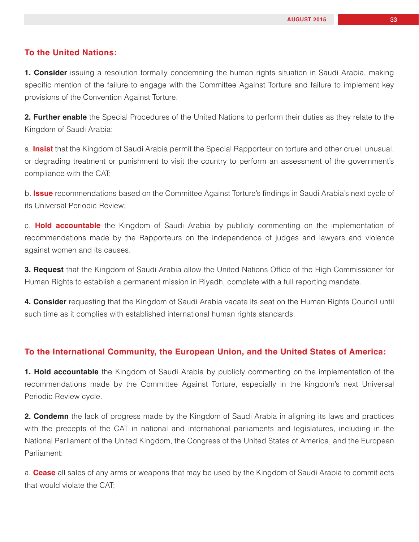#### **To the United Nations:**

**1. Consider** issuing a resolution formally condemning the human rights situation in Saudi Arabia, making specific mention of the failure to engage with the Committee Against Torture and failure to implement key provisions of the Convention Against Torture.

**2. Further enable** the Special Procedures of the United Nations to perform their duties as they relate to the Kingdom of Saudi Arabia:

a. **Insist** that the Kingdom of Saudi Arabia permit the Special Rapporteur on torture and other cruel, unusual, or degrading treatment or punishment to visit the country to perform an assessment of the government's compliance with the CAT;

b. **Issue** recommendations based on the Committee Against Torture's findings in Saudi Arabia's next cycle of its Universal Periodic Review;

c. **Hold accountable** the Kingdom of Saudi Arabia by publicly commenting on the implementation of recommendations made by the Rapporteurs on the independence of judges and lawyers and violence against women and its causes.

**3. Request** that the Kingdom of Saudi Arabia allow the United Nations Office of the High Commissioner for Human Rights to establish a permanent mission in Riyadh, complete with a full reporting mandate.

**4. Consider** requesting that the Kingdom of Saudi Arabia vacate its seat on the Human Rights Council until such time as it complies with established international human rights standards.

#### **To the International Community, the European Union, and the United States of America:**

**1. Hold accountable** the Kingdom of Saudi Arabia by publicly commenting on the implementation of the recommendations made by the Committee Against Torture, especially in the kingdom's next Universal Periodic Review cycle.

**2. Condemn** the lack of progress made by the Kingdom of Saudi Arabia in aligning its laws and practices with the precepts of the CAT in national and international parliaments and legislatures, including in the National Parliament of the United Kingdom, the Congress of the United States of America, and the European Parliament:

a. **Cease** all sales of any arms or weapons that may be used by the Kingdom of Saudi Arabia to commit acts that would violate the CAT;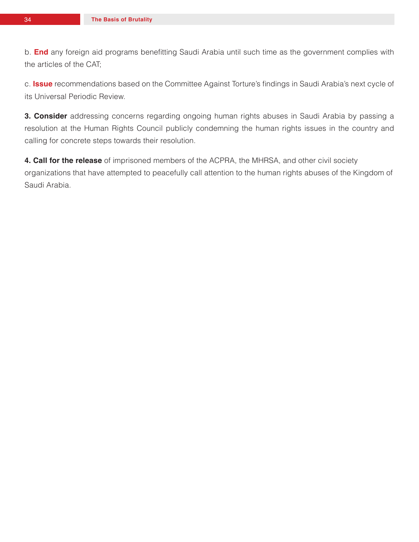b. **End** any foreign aid programs benefitting Saudi Arabia until such time as the government complies with the articles of the CAT;

c. **Issue** recommendations based on the Committee Against Torture's findings in Saudi Arabia's next cycle of its Universal Periodic Review.

**3. Consider** addressing concerns regarding ongoing human rights abuses in Saudi Arabia by passing a resolution at the Human Rights Council publicly condemning the human rights issues in the country and calling for concrete steps towards their resolution.

**4. Call for the release** of imprisoned members of the ACPRA, the MHRSA, and other civil society organizations that have attempted to peacefully call attention to the human rights abuses of the Kingdom of Saudi Arabia.